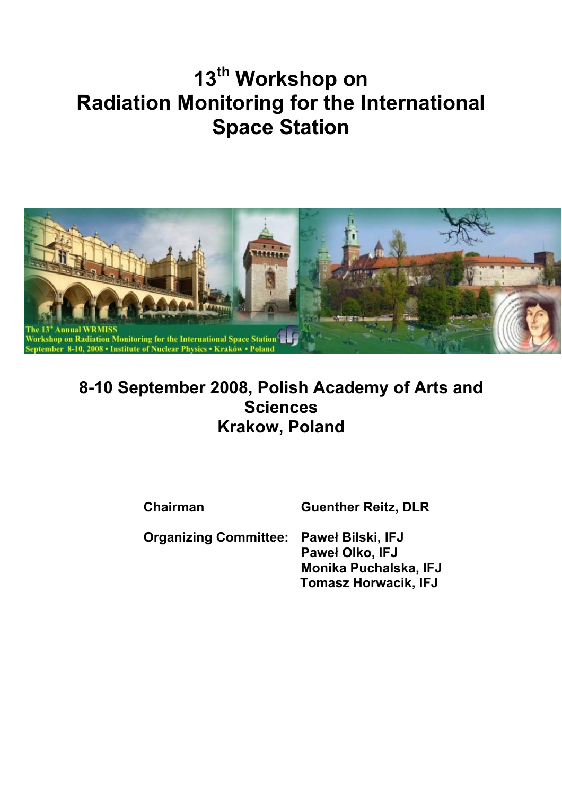# **13th Workshop on Radiation Monitoring for the International Space Station**



## **8-10 September 2008, Polish Academy of Arts and Sciences Krakow, Poland**

**Chairman Guenther Reitz, DLR** 

**Organizing Committee: Paweł Bilski, IFJ Paweł Olko, IFJ Monika Puchalska, IFJ Tomasz Horwacik, IFJ**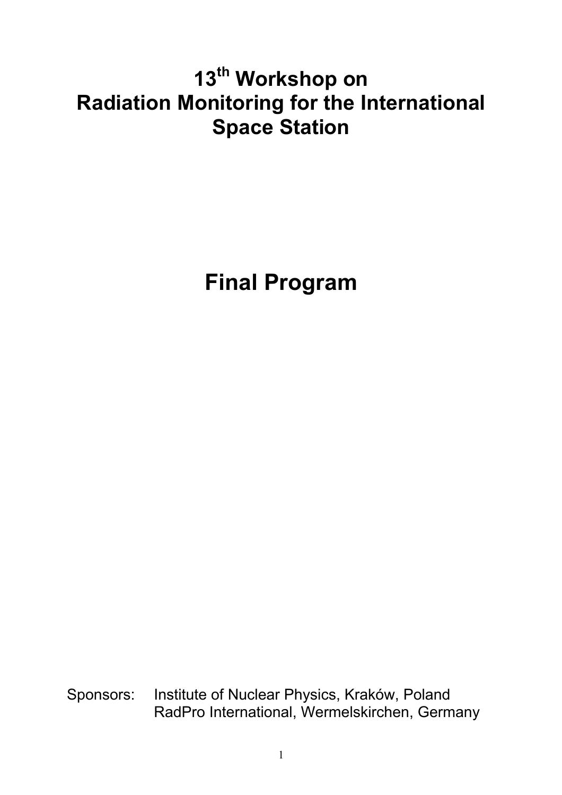# **13th Workshop on Radiation Monitoring for the International Space Station**

**Final Program** 

Sponsors: Institute of Nuclear Physics, Kraków, Poland RadPro International, Wermelskirchen, Germany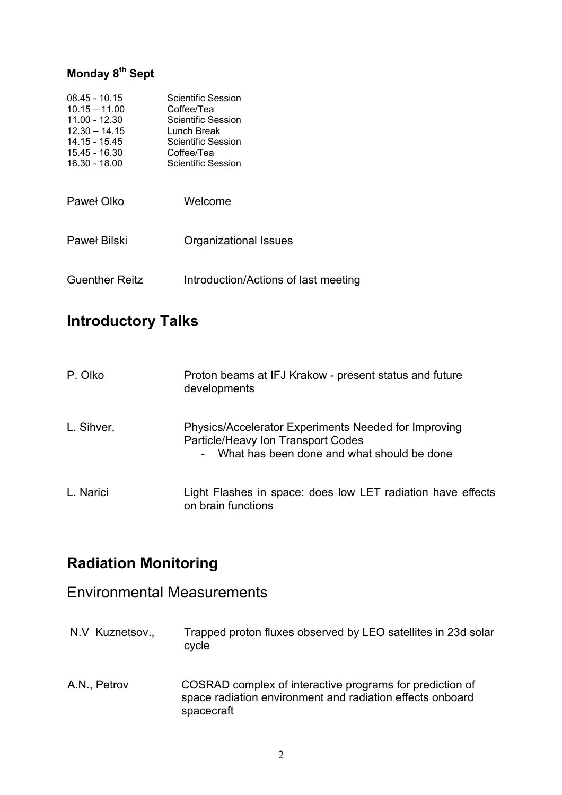## **Monday 8th Sept**

| $08.45 - 10.15$<br>$10.15 - 11.00$<br>$11.00 - 12.30$<br>$12.30 - 14.15$<br>14.15 - 15.45<br>15.45 - 16.30<br>16.30 - 18.00 | Scientific Session<br>Coffee/Tea<br>Scientific Session<br>Lunch Break<br>Scientific Session<br>Coffee/Tea<br>Scientific Session |
|-----------------------------------------------------------------------------------------------------------------------------|---------------------------------------------------------------------------------------------------------------------------------|
| Paweł Olko                                                                                                                  | Welcome                                                                                                                         |
| Paweł Bilski                                                                                                                | Organizational Issues                                                                                                           |
| <b>Guenther Reitz</b>                                                                                                       | Introduction/Actions of last meeting                                                                                            |

## **Introductory Talks**

| P. Olko    | Proton beams at IFJ Krakow - present status and future<br>developments                                                                                 |
|------------|--------------------------------------------------------------------------------------------------------------------------------------------------------|
| L. Sihver, | Physics/Accelerator Experiments Needed for Improving<br>Particle/Heavy Ion Transport Codes<br>What has been done and what should be done<br>$\sim 100$ |
| L. Narici  | Light Flashes in space: does low LET radiation have effects<br>on brain functions                                                                      |

## **Radiation Monitoring**

## Environmental Measurements

- N.V Kuznetsov., Trapped proton fluxes observed by LEO satellites in 23d solar cycle
- A.N., Petrov COSRAD complex of interactive programs for prediction of space radiation environment and radiation effects onboard spacecraft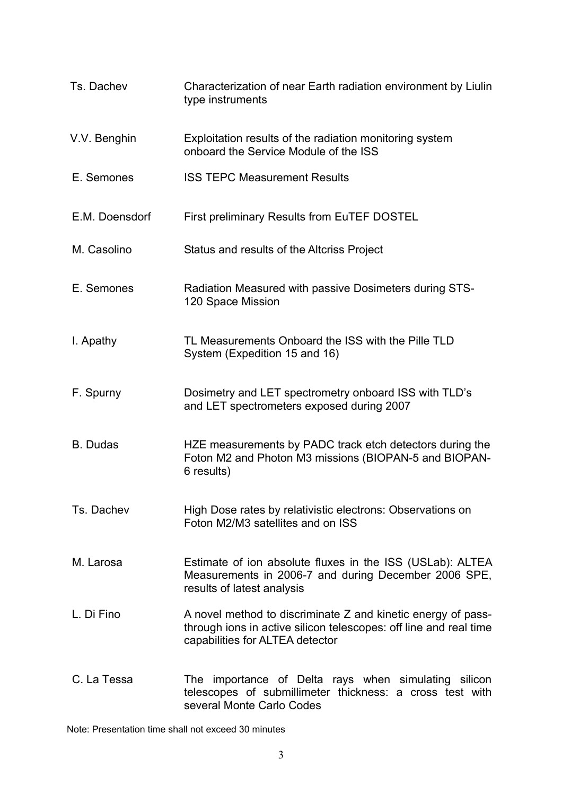| Ts. Dachev      | Characterization of near Earth radiation environment by Liulin<br>type instruments                                                                                   |
|-----------------|----------------------------------------------------------------------------------------------------------------------------------------------------------------------|
| V.V. Benghin    | Exploitation results of the radiation monitoring system<br>onboard the Service Module of the ISS                                                                     |
| E. Semones      | <b>ISS TEPC Measurement Results</b>                                                                                                                                  |
| E.M. Doensdorf  | <b>First preliminary Results from EuTEF DOSTEL</b>                                                                                                                   |
| M. Casolino     | Status and results of the Altcriss Project                                                                                                                           |
| E. Semones      | Radiation Measured with passive Dosimeters during STS-<br>120 Space Mission                                                                                          |
| I. Apathy       | TL Measurements Onboard the ISS with the Pille TLD<br>System (Expedition 15 and 16)                                                                                  |
| F. Spurny       | Dosimetry and LET spectrometry onboard ISS with TLD's<br>and LET spectrometers exposed during 2007                                                                   |
| <b>B.</b> Dudas | HZE measurements by PADC track etch detectors during the<br>Foton M2 and Photon M3 missions (BIOPAN-5 and BIOPAN-<br>6 results)                                      |
| Ts. Dachev      | High Dose rates by relativistic electrons: Observations on<br>Foton M2/M3 satellites and on ISS                                                                      |
| M. Larosa       | Estimate of ion absolute fluxes in the ISS (USLab): ALTEA<br>Measurements in 2006-7 and during December 2006 SPE,<br>results of latest analysis                      |
| L. Di Fino      | A novel method to discriminate Z and kinetic energy of pass-<br>through ions in active silicon telescopes: off line and real time<br>capabilities for ALTEA detector |
| C. La Tessa     | The importance of Delta rays when simulating silicon<br>telescopes of submillimeter thickness: a cross test with<br>several Monte Carlo Codes                        |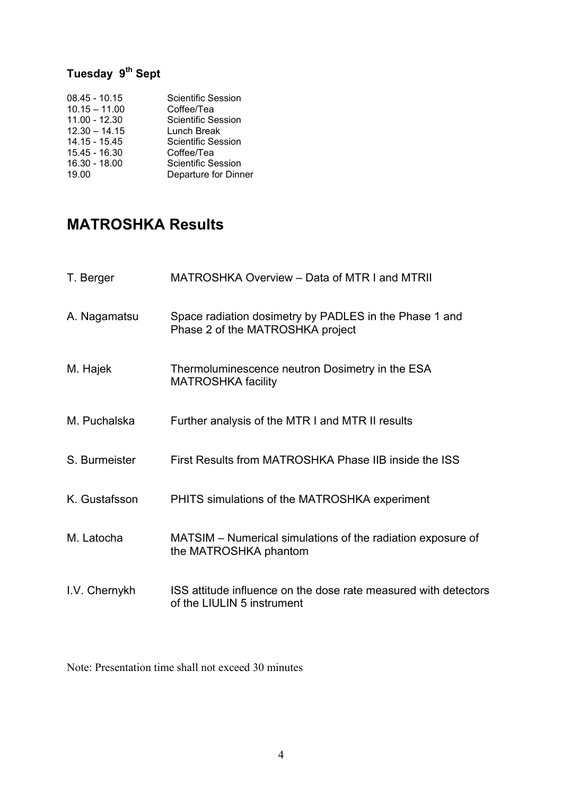## **Tuesday 9th Sept**

| <b>Scientific Session</b> |
|---------------------------|
| Coffee/Tea                |
| <b>Scientific Session</b> |
| Lunch Break               |
| Scientific Session        |
| Coffee/Tea                |
| <b>Scientific Session</b> |
| Departure for Dinner      |
|                           |

## **MATROSHKA Results**

| T. Berger     | MATROSHKA Overview - Data of MTR I and MTRII                                                  |
|---------------|-----------------------------------------------------------------------------------------------|
| A. Nagamatsu  | Space radiation dosimetry by PADLES in the Phase 1 and<br>Phase 2 of the MATROSHKA project    |
| M. Hajek      | Thermoluminescence neutron Dosimetry in the ESA<br><b>MATROSHKA facility</b>                  |
| M. Puchalska  | Further analysis of the MTR I and MTR II results                                              |
| S. Burmeister | First Results from MATROSHKA Phase IIB inside the ISS                                         |
| K. Gustafsson | PHITS simulations of the MATROSHKA experiment                                                 |
| M. Latocha    | MATSIM – Numerical simulations of the radiation exposure of<br>the MATROSHKA phantom          |
| I.V. Chernykh | ISS attitude influence on the dose rate measured with detectors<br>of the LIULIN 5 instrument |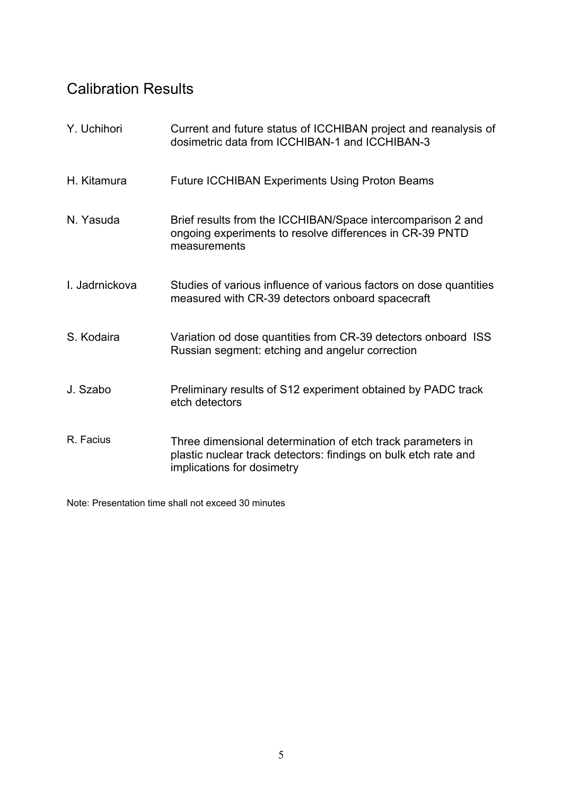## Calibration Results

| Y. Uchihori    | Current and future status of ICCHIBAN project and reanalysis of<br>dosimetric data from ICCHIBAN-1 and ICCHIBAN-3                                            |
|----------------|--------------------------------------------------------------------------------------------------------------------------------------------------------------|
| H. Kitamura    | <b>Future ICCHIBAN Experiments Using Proton Beams</b>                                                                                                        |
| N. Yasuda      | Brief results from the ICCHIBAN/Space intercomparison 2 and<br>ongoing experiments to resolve differences in CR-39 PNTD<br>measurements                      |
| I. Jadrnickova | Studies of various influence of various factors on dose quantities<br>measured with CR-39 detectors onboard spacecraft                                       |
| S. Kodaira     | Variation od dose quantities from CR-39 detectors onboard ISS<br>Russian segment: etching and angelur correction                                             |
| J. Szabo       | Preliminary results of S12 experiment obtained by PADC track<br>etch detectors                                                                               |
| R. Facius      | Three dimensional determination of etch track parameters in<br>plastic nuclear track detectors: findings on bulk etch rate and<br>implications for dosimetry |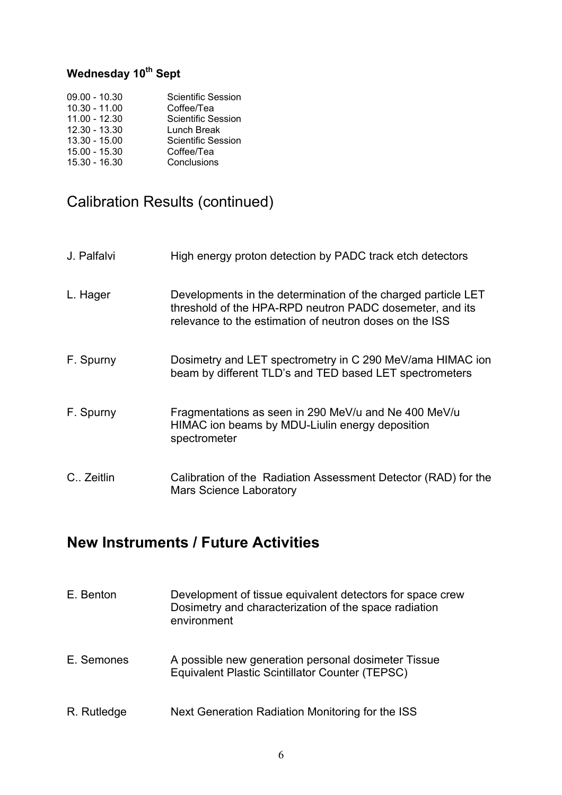## **Wednesday 10th Sept**

| $09.00 - 10.30$ | Scientific Session |
|-----------------|--------------------|
| $10.30 - 11.00$ | Coffee/Tea         |
| $11.00 - 12.30$ | Scientific Session |
| 12.30 - 13.30   | Lunch Break        |
| $13.30 - 15.00$ | Scientific Session |
| 15.00 - 15.30   | Coffee/Tea         |
| 15.30 - 16.30   | Conclusions        |

## Calibration Results (continued)

| J. Palfalvi | High energy proton detection by PADC track etch detectors                                                                                                                            |
|-------------|--------------------------------------------------------------------------------------------------------------------------------------------------------------------------------------|
| L. Hager    | Developments in the determination of the charged particle LET<br>threshold of the HPA-RPD neutron PADC dosemeter, and its<br>relevance to the estimation of neutron doses on the ISS |
| F. Spurny   | Dosimetry and LET spectrometry in C 290 MeV/ama HIMAC ion<br>beam by different TLD's and TED based LET spectrometers                                                                 |
| F. Spurny   | Fragmentations as seen in 290 MeV/u and Ne 400 MeV/u<br>HIMAC ion beams by MDU-Liulin energy deposition<br>spectrometer                                                              |
| C. Zeitlin  | Calibration of the Radiation Assessment Detector (RAD) for the<br><b>Mars Science Laboratory</b>                                                                                     |

## **New Instruments / Future Activities**

| E. Benton   | Development of tissue equivalent detectors for space crew<br>Dosimetry and characterization of the space radiation<br>environment |
|-------------|-----------------------------------------------------------------------------------------------------------------------------------|
| E. Semones  | A possible new generation personal dosimeter Tissue<br>Equivalent Plastic Scintillator Counter (TEPSC)                            |
| R. Rutledge | Next Generation Radiation Monitoring for the ISS                                                                                  |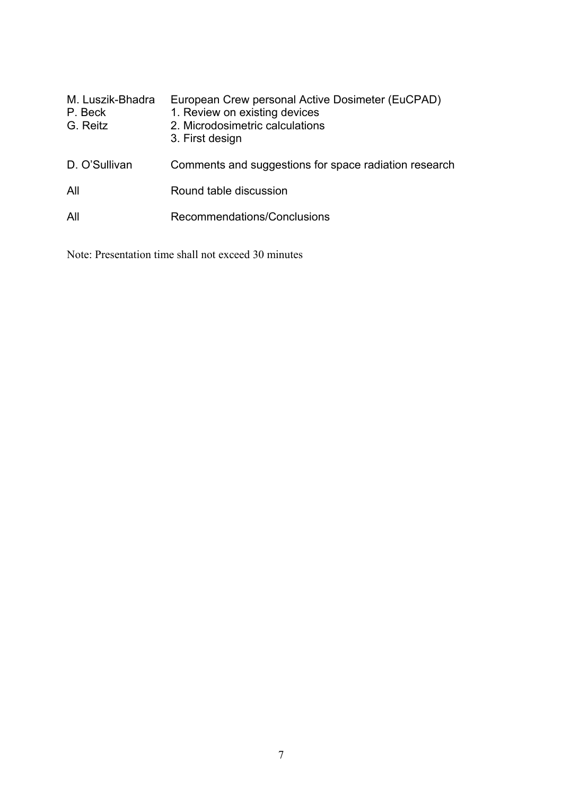| M. Luszik-Bhadra<br>P. Beck<br>G. Reitz | European Crew personal Active Dosimeter (EuCPAD)<br>1. Review on existing devices<br>2. Microdosimetric calculations<br>3. First design |
|-----------------------------------------|-----------------------------------------------------------------------------------------------------------------------------------------|
| D. O'Sullivan                           | Comments and suggestions for space radiation research                                                                                   |
| All                                     | Round table discussion                                                                                                                  |
| All                                     | Recommendations/Conclusions                                                                                                             |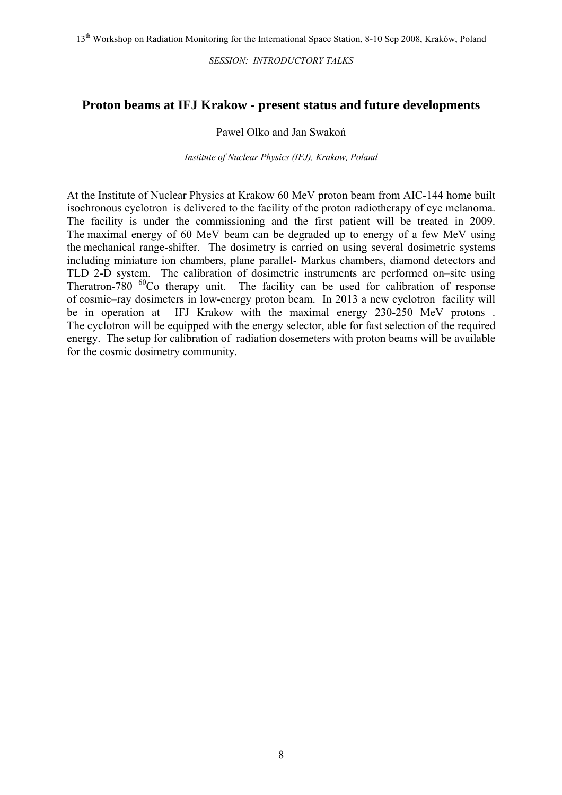*SESSION: INTRODUCTORY TALKS* 

#### **Proton beams at IFJ Krakow - present status and future developments**

#### Pawel Olko and Jan Swakoń

*Institute of Nuclear Physics (IFJ), Krakow, Poland*

At the Institute of Nuclear Physics at Krakow 60 MeV proton beam from AIC-144 home built isochronous cyclotron is delivered to the facility of the proton radiotherapy of eye melanoma. The facility is under the commissioning and the first patient will be treated in 2009. The maximal energy of 60 MeV beam can be degraded up to energy of a few MeV using the mechanical range-shifter. The dosimetry is carried on using several dosimetric systems including miniature ion chambers, plane parallel- Markus chambers, diamond detectors and TLD 2-D system. The calibration of dosimetric instruments are performed on–site using Theratron-780  $^{60}$ Co therapy unit. The facility can be used for calibration of response of cosmic–ray dosimeters in low-energy proton beam. In 2013 a new cyclotron facility will be in operation at IFJ Krakow with the maximal energy 230-250 MeV protons . The cyclotron will be equipped with the energy selector, able for fast selection of the required energy. The setup for calibration of radiation dosemeters with proton beams will be available for the cosmic dosimetry community.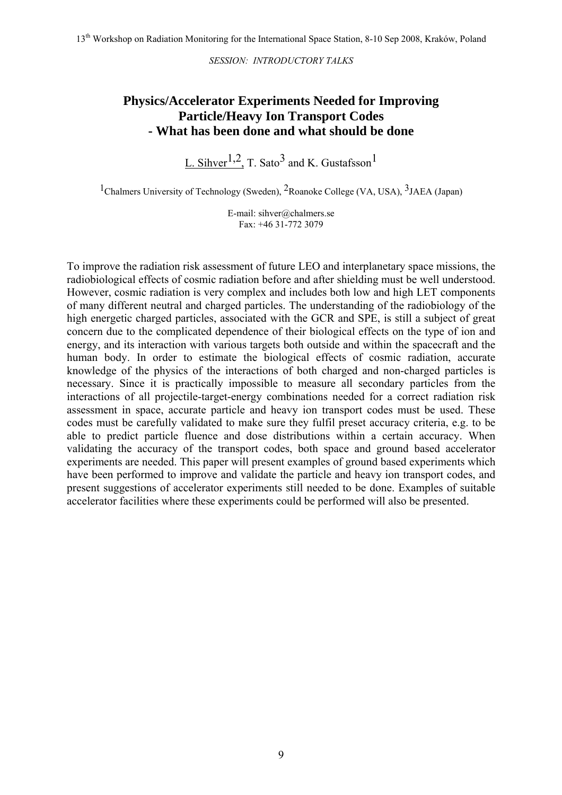*SESSION: INTRODUCTORY TALKS* 

### **Physics/Accelerator Experiments Needed for Improving Particle/Heavy Ion Transport Codes - What has been done and what should be done**

L. Sihver<sup>1,2</sup>, T. Sato<sup>3</sup> and K. Gustafsson<sup>1</sup>

<sup>1</sup>Chalmers University of Technology (Sweden), <sup>2</sup>Roanoke College (VA, USA), <sup>3</sup>JAEA (Japan)

E-mail: sihver@chalmers.se Fax: +46 31-772 3079

To improve the radiation risk assessment of future LEO and interplanetary space missions, the radiobiological effects of cosmic radiation before and after shielding must be well understood. However, cosmic radiation is very complex and includes both low and high LET components of many different neutral and charged particles. The understanding of the radiobiology of the high energetic charged particles, associated with the GCR and SPE, is still a subject of great concern due to the complicated dependence of their biological effects on the type of ion and energy, and its interaction with various targets both outside and within the spacecraft and the human body. In order to estimate the biological effects of cosmic radiation, accurate knowledge of the physics of the interactions of both charged and non-charged particles is necessary. Since it is practically impossible to measure all secondary particles from the interactions of all projectile-target-energy combinations needed for a correct radiation risk assessment in space, accurate particle and heavy ion transport codes must be used. These codes must be carefully validated to make sure they fulfil preset accuracy criteria, e.g. to be able to predict particle fluence and dose distributions within a certain accuracy. When validating the accuracy of the transport codes, both space and ground based accelerator experiments are needed. This paper will present examples of ground based experiments which have been performed to improve and validate the particle and heavy ion transport codes, and present suggestions of accelerator experiments still needed to be done. Examples of suitable accelerator facilities where these experiments could be performed will also be presented.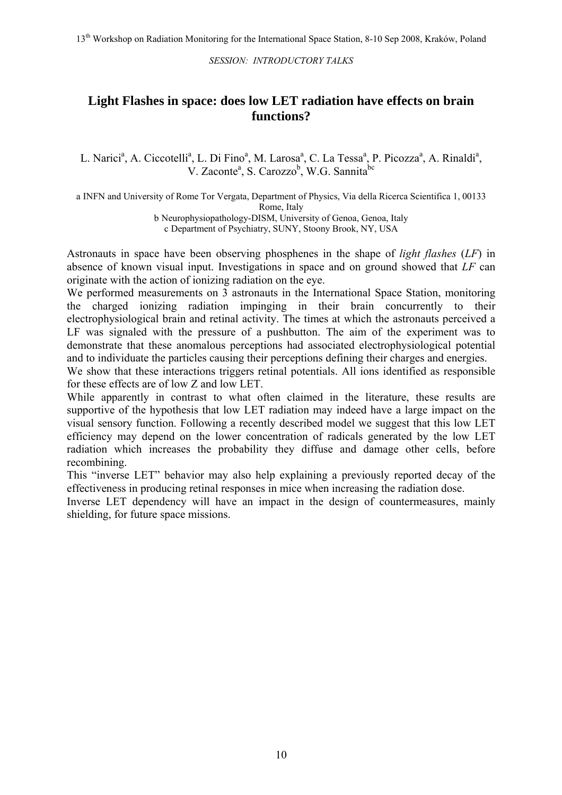*SESSION: INTRODUCTORY TALKS* 

#### **Light Flashes in space: does low LET radiation have effects on brain functions?**

L. Narici<sup>a</sup>, A. Ciccotelli<sup>a</sup>, L. Di Fino<sup>a</sup>, M. Larosa<sup>a</sup>, C. La Tessa<sup>a</sup>, P. Picozza<sup>a</sup>, A. Rinaldi<sup>a</sup>, V. Zaconte<sup>a</sup>, S. Carozzo<sup>b</sup>, W.G. Sannita<sup>bc</sup>

a INFN and University of Rome Tor Vergata, Department of Physics, Via della Ricerca Scientifica 1, 00133 Rome, Italy b Neurophysiopathology-DISM, University of Genoa, Genoa, Italy

c Department of Psychiatry, SUNY, Stoony Brook, NY, USA

Astronauts in space have been observing phosphenes in the shape of *light flashes* (*LF*) in absence of known visual input. Investigations in space and on ground showed that *LF* can originate with the action of ionizing radiation on the eye.

We performed measurements on 3 astronauts in the International Space Station, monitoring the charged ionizing radiation impinging in their brain concurrently to their electrophysiological brain and retinal activity. The times at which the astronauts perceived a LF was signaled with the pressure of a pushbutton. The aim of the experiment was to demonstrate that these anomalous perceptions had associated electrophysiological potential and to individuate the particles causing their perceptions defining their charges and energies.

We show that these interactions triggers retinal potentials. All ions identified as responsible for these effects are of low Z and low LET.

While apparently in contrast to what often claimed in the literature, these results are supportive of the hypothesis that low LET radiation may indeed have a large impact on the visual sensory function. Following a recently described model we suggest that this low LET efficiency may depend on the lower concentration of radicals generated by the low LET radiation which increases the probability they diffuse and damage other cells, before recombining.

This "inverse LET" behavior may also help explaining a previously reported decay of the effectiveness in producing retinal responses in mice when increasing the radiation dose.

Inverse LET dependency will have an impact in the design of countermeasures, mainly shielding, for future space missions.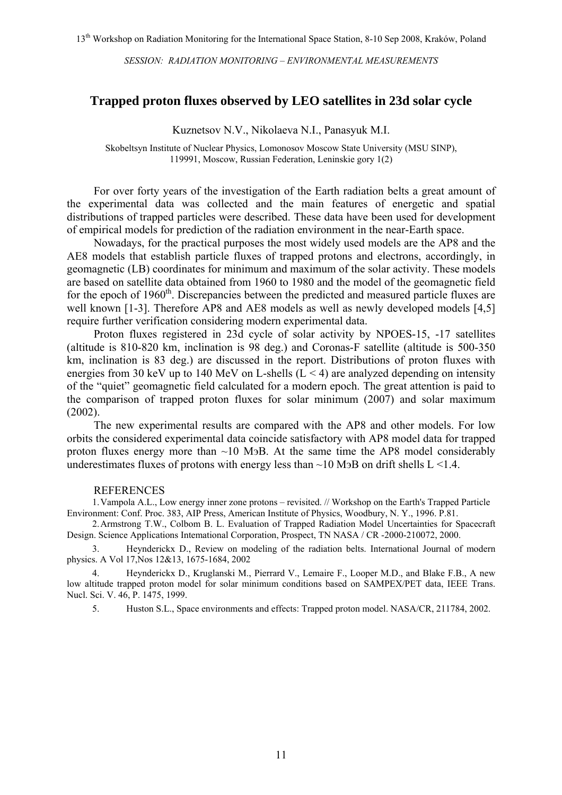#### **Trapped proton fluxes observed by LEO satellites in 23d solar cycle**

Kuznetsov N.V., Nikolaeva N.I., Panasyuk M.I.

Skobeltsyn Institute of Nuclear Physics, Lomonosov Moscow State University (MSU SINP), 119991, Moscow, Russian Federation, Leninskie gory 1(2)

For over forty years of the investigation of the Earth radiation belts a great amount of the experimental data was collected and the main features of energetic and spatial distributions of trapped particles were described. These data have been used for development of empirical models for prediction of the radiation environment in the near-Earth space.

Nowadays, for the practical purposes the most widely used models are the AP8 and the AE8 models that establish particle fluxes of trapped protons and electrons, accordingly, in geomagnetic (LB) coordinates for minimum and maximum of the solar activity. These models are based on satellite data obtained from 1960 to 1980 and the model of the geomagnetic field for the epoch of  $1960<sup>th</sup>$ . Discrepancies between the predicted and measured particle fluxes are well known [1-3]. Therefore AP8 and AE8 models as well as newly developed models [4.5] require further verification considering modern experimental data.

Proton fluxes registered in 23d cycle of solar activity by NPOES-15, -17 satellites (altitude is 810-820 km, inclination is 98 deg.) and Coronas-F satellite (altitude is 500-350 km, inclination is 83 deg.) are discussed in the report. Distributions of proton fluxes with energies from 30 keV up to 140 MeV on L-shells  $(L < 4)$  are analyzed depending on intensity of the "quiet" geomagnetic field calculated for a modern epoch. The great attention is paid to the comparison of trapped proton fluxes for solar minimum (2007) and solar maximum (2002).

The new experimental results are compared with the AP8 and other models. For low orbits the considered experimental data coincide satisfactory with АР8 model data for trapped proton fluxes energy more than  $\sim$ 10 M<sub>3</sub>B. At the same time the AP8 model considerably underestimates fluxes of protons with energy less than  $\sim$ 10 M<sub>3</sub>B on drift shells L  $\leq$ 1.4.

#### REFERENCES

1.Vampola A.L., Low energy inner zone protons – revisited. // Workshop on the Earth's Trapped Particle Environment: Conf. Proc. 383, AIP Press, American Institute of Physics, Woodbury, N. Y., 1996. P.81.

2.Armstrong T.W., Colbom B. L. Evaluation of Trapped Radiation Model Uncertainties for Spacecraft Design. Science Applications Intemational Corporation, Prospect, TN NASA / CR -2000-210072, 2000.

3. Heynderickx D., Review on modeling of the radiation belts. International Journal of modern physics. A Vol 17,Nos 12&13, 1675-1684, 2002

4. Heynderickx D., Kruglanski M., Pierrard V., Lemaire F., Looper M.D., and Blake F.B., A new low altitude trapped proton model for solar minimum conditions based on SAMPEX/PET data, IEEE Trans. Nucl. Sci. V. 46, P. 1475, 1999.

5. Huston S.L., Space environments and effects: Trapped proton model. NASA/CR, 211784, 2002.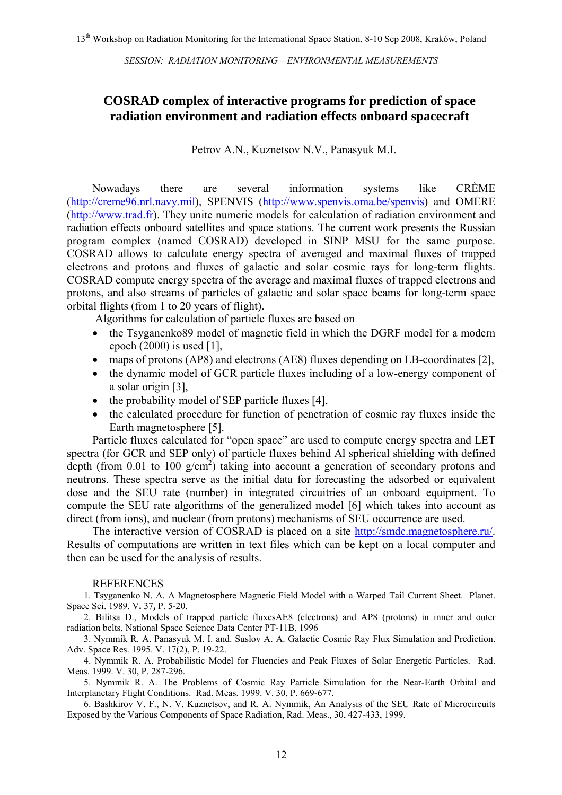#### **COSRAD complex of interactive programs for prediction of space radiation environment and radiation effects onboard spacecraft**

Petrov A.N., Kuznetsov N.V., Panasyuk M.I.

Nowadays there are several information systems like CRÈME ([http://creme96.nrl.navy.mil\)](http://creme96.nrl.navy.mil/), SPENVIS [\(http://www.spenvis.oma.be/spenvis](http://www.spenvis.oma.be/spenvis)) and OMERE ([http://www.trad.fr](http://www.trad.fr/)). They unite numeric models for calculation of radiation environment and radiation effects onboard satellites and space stations. The current work presents the Russian program complex (named COSRAD) developed in SINP MSU for the same purpose. COSRAD allows to calculate energy spectra of averaged and maximal fluxes of trapped electrons and protons and fluxes of galactic and solar cosmic rays for long-term flights. COSRAD compute energy spectra of the average and maximal fluxes of trapped electrons and protons, and also streams of particles of galactic and solar space beams for long-term space orbital flights (from 1 to 20 years of flight).

Algorithms for calculation of particle fluxes are based on

- the Tsyganenko89 model of magnetic field in which the DGRF model for a modern epoch (2000) is used [1],
- maps of protons (AP8) and electrons (AE8) fluxes depending on LB-coordinates [2],
- the dynamic model of GCR particle fluxes including of a low-energy component of a solar origin [3],
- the probability model of SEP particle fluxes [4],
- the calculated procedure for function of penetration of cosmic ray fluxes inside the Earth magnetosphere [5].

Particle fluxes calculated for "open space" are used to compute energy spectra and LET spectra (for GCR and SEP only) of particle fluxes behind Al spherical shielding with defined depth (from 0.01 to 100  $g/cm<sup>2</sup>$ ) taking into account a generation of secondary protons and neutrons. These spectra serve as the initial data for forecasting the adsorbed or equivalent dose and the SEU rate (number) in integrated circuitries of an onboard equipment. To compute the SEU rate algorithms of the generalized model [6] which takes into account as direct (from ions), and nuclear (from protons) mechanisms of SEU occurrence are used.

The interactive version of COSRAD is placed on a site [http://smdc.magnetosphere.ru/.](http://smdc.magnetosphere.ru/) Results of computations are written in text files which can be kept on a local computer and then can be used for the analysis of results.

#### REFERENCES

1. Tsyganenko N. A. A Magnetosphere Magnetic Field Model with a Warped Tail Current Sheet. Planet. Space Sci. 1989. V**.** 37**,** P. 5-20.

2. Bilitsa D., Models of trapped particle fluxesAE8 (electrons) and AP8 (protons) in inner and outer radiation belts, National Space Science Data Center PT-11B, 1996

3. Nymmik R. A. Panasyuk M. I. and. Suslov A. A. Galactic Cosmic Ray Flux Simulation and Prediction. Adv. Space Res. 1995. V. 17(2), P. 19-22.

4. Nymmik R. A. Probabilistic Model for Fluencies and Peak Fluxes of Solar Energetic Particles. Rad. Meas. 1999. V. 30, P. 287-296.

5. Nymmik R. A. The Problems of Cosmic Ray Particle Simulation for the Near-Earth Orbital and Interplanetary Flight Conditions. Rad. Meas. 1999. V. 30, P. 669-677.

6. Bashkirov V. F., N. V. Kuznetsov, and R. A. Nymmik, An Analysis of the SEU Rate of Microcircuits Exposed by the Various Components of Space Radiation, Rad. Meas., 30, 427-433, 1999.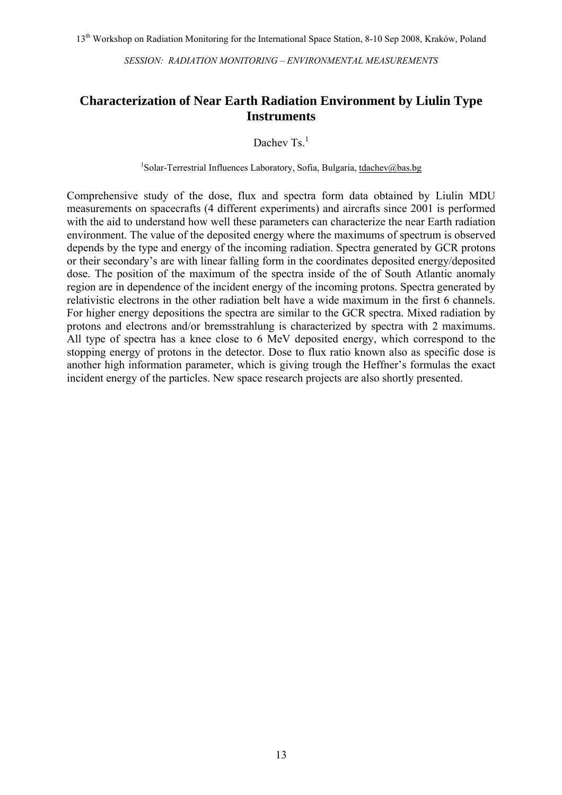#### **Characterization of Near Earth Radiation Environment by Liulin Type Instruments**

Dachev Ts $<sup>1</sup>$ </sup>

<sup>1</sup>Solar-Terrestrial Influences Laboratory, Sofia, Bulgaria, [tdachev@bas.bg](mailto:tdachev@bas.bg)

Comprehensive study of the dose, flux and spectra form data obtained by Liulin MDU measurements on spacecrafts (4 different experiments) and aircrafts since 2001 is performed with the aid to understand how well these parameters can characterize the near Earth radiation environment. The value of the deposited energy where the maximums of spectrum is observed depends by the type and energy of the incoming radiation. Spectra generated by GCR protons or their secondary's are with linear falling form in the coordinates deposited energy/deposited dose. The position of the maximum of the spectra inside of the of South Atlantic anomaly region are in dependence of the incident energy of the incoming protons. Spectra generated by relativistic electrons in the other radiation belt have a wide maximum in the first 6 channels. For higher energy depositions the spectra are similar to the GCR spectra. Mixed radiation by protons and electrons and/or bremsstrahlung is characterized by spectra with 2 maximums. All type of spectra has a knee close to 6 MeV deposited energy, which correspond to the stopping energy of protons in the detector. Dose to flux ratio known also as specific dose is another high information parameter, which is giving trough the Heffner's formulas the exact incident energy of the particles. New space research projects are also shortly presented.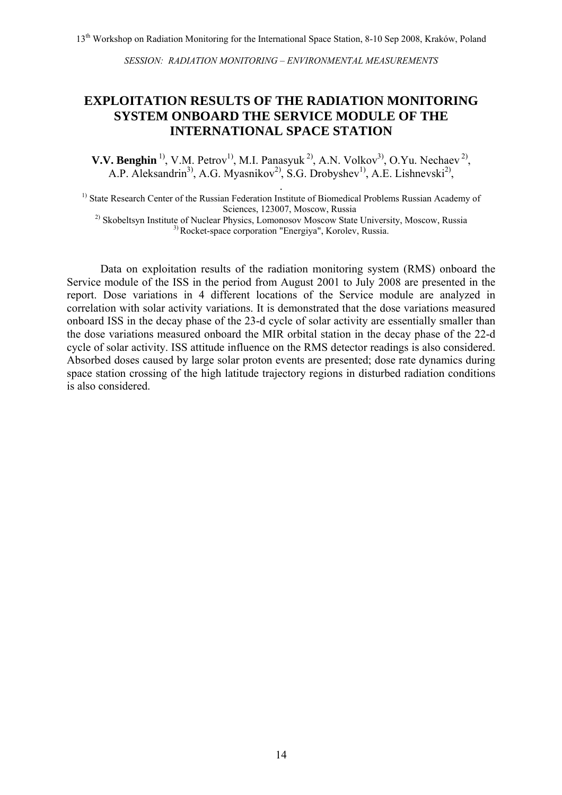### **EXPLOITATION RESULTS OF THE RADIATION MONITORING SYSTEM ONBOARD THE SERVICE MODULE OF THE INTERNATIONAL SPACE STATION**

**V.V. Benghin**<sup>1)</sup>, V.M. Petrov<sup>1</sup>, M.I. Panasyuk<sup>2)</sup>, A.N. Volkov<sup>3</sup>, O.Yu. Nechaev<sup>2</sup>, A.P. Aleksandrin<sup>3)</sup>, A.G. Myasnikov<sup>2)</sup>, S.G. Drobyshev<sup>1)</sup>, A.E. Lishnevski<sup>2</sup>,

<sup>1)</sup> State Research Center of the Russian Federation Institute of Biomedical Problems Russian Academy of Sciences, 123007, Moscow, Russia

<sup>2)</sup> Skobeltsyn Institute of Nuclear Physics, Lomonosov Moscow State University, Moscow, Russia 3) Rocket-space corporation "Energiya", Korolev, Russia.

Data on exploitation results of the radiation monitoring system (RMS) onboard the Service module of the ISS in the period from August 2001 to July 2008 are presented in the report. Dose variations in 4 different locations of the Service module are analyzed in correlation with solar activity variations. It is demonstrated that the dose variations measured onboard ISS in the decay phase of the 23-d cycle of solar activity are essentially smaller than the dose variations measured onboard the MIR orbital station in the decay phase of the 22-d cycle of solar activity. ISS attitude influence on the RMS detector readings is also considered. Absorbed doses caused by large solar proton events are presented; dose rate dynamics during space station crossing of the high latitude trajectory regions in disturbed radiation conditions is also considered.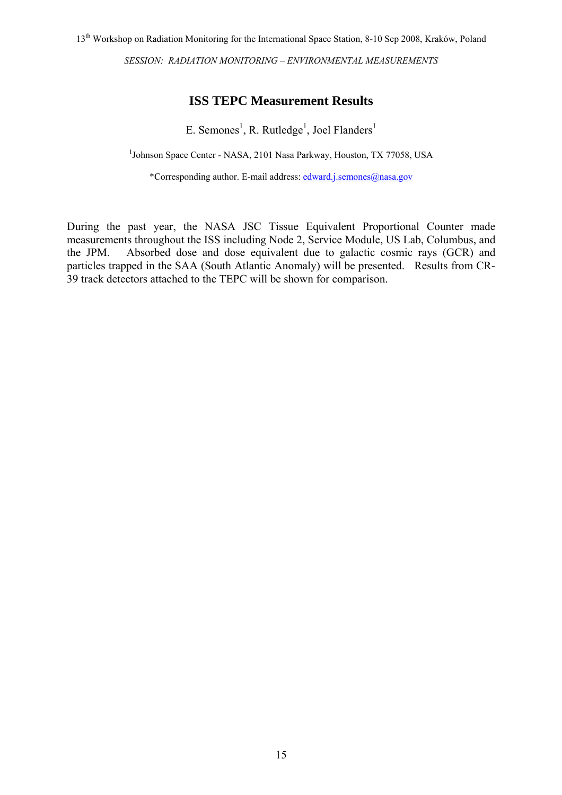### **ISS TEPC Measurement Results**

E. Semones<sup>1</sup>, R. Rutledge<sup>1</sup>, Joel Flanders<sup>1</sup>

<sup>1</sup>Johnson Space Center - NASA, 2101 Nasa Parkway, Houston, TX 77058, USA

\*Corresponding author. E-mail address: [edward.j.semones@nasa.gov](mailto:edward.j.semones@nasa.gov)

During the past year, the NASA JSC Tissue Equivalent Proportional Counter made measurements throughout the ISS including Node 2, Service Module, US Lab, Columbus, and the JPM. Absorbed dose and dose equivalent due to galactic cosmic rays (GCR) and particles trapped in the SAA (South Atlantic Anomaly) will be presented. Results from CR-39 track detectors attached to the TEPC will be shown for comparison.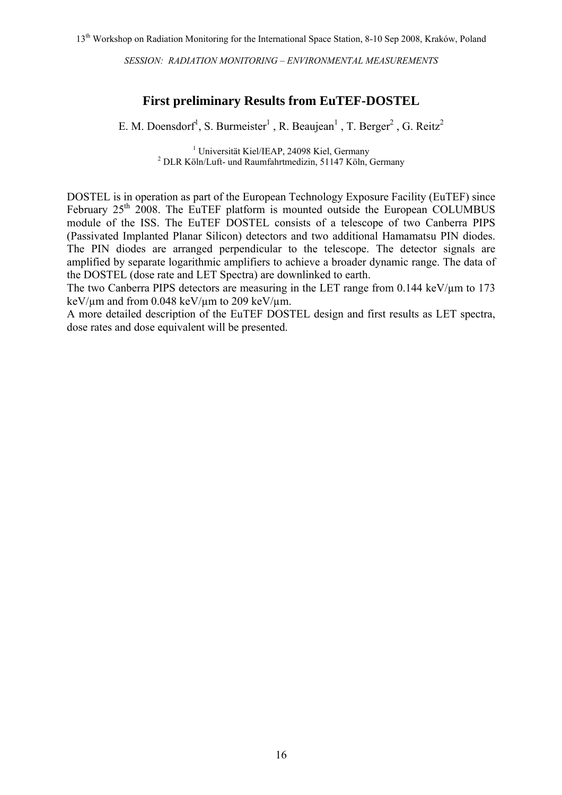#### **First preliminary Results from EuTEF-DOSTEL**

E. M. Doensdorf<sup>1</sup>, S. Burmeister<sup>1</sup>, R. Beaujean<sup>1</sup>, T. Berger<sup>2</sup>, G. Reitz<sup>2</sup>

<sup>1</sup> Universität Kiel/IEAP, 24098 Kiel, Germany <sup>1</sup> Universität Kiel/IEAP, 24098 Kiel, Germany<sup>2</sup> DLR Köln/Luft- und Raumfahrtmedizin, 51147 Köln, Germany

DOSTEL is in operation as part of the European Technology Exposure Facility (EuTEF) since February 25<sup>th</sup> 2008. The EuTEF platform is mounted outside the European COLUMBUS module of the ISS. The EuTEF DOSTEL consists of a telescope of two Canberra PIPS (Passivated Implanted Planar Silicon) detectors and two additional Hamamatsu PIN diodes. The PIN diodes are arranged perpendicular to the telescope. The detector signals are amplified by separate logarithmic amplifiers to achieve a broader dynamic range. The data of the DOSTEL (dose rate and LET Spectra) are downlinked to earth.

The two Canberra PIPS detectors are measuring in the LET range from  $0.144 \text{ keV}/\mu\text{m}$  to 173 keV/ $\mu$ m and from 0.048 keV/ $\mu$ m to 209 keV/ $\mu$ m.

A more detailed description of the EuTEF DOSTEL design and first results as LET spectra, dose rates and dose equivalent will be presented.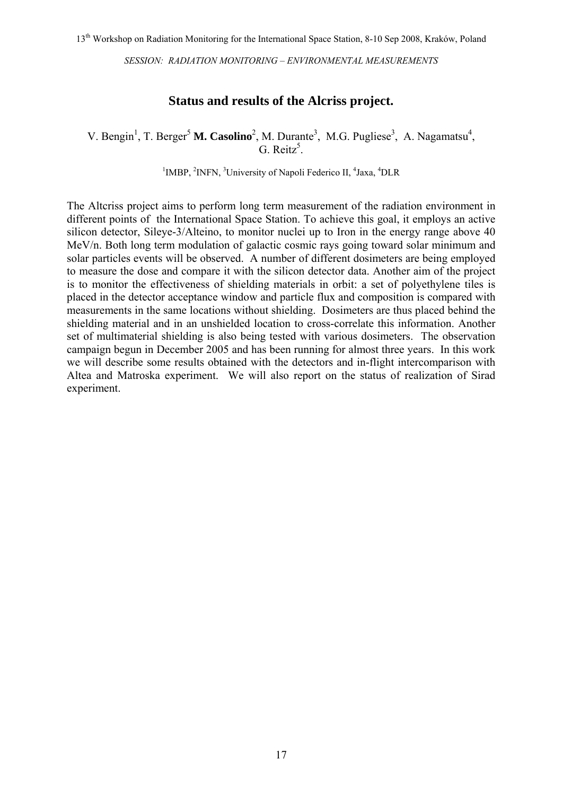#### **Status and results of the Alcriss project.**

V. Bengin<sup>1</sup>, T. Berger<sup>5</sup> M. Casolino<sup>2</sup>, M. Durante<sup>3</sup>, M.G. Pugliese<sup>3</sup>, A. Nagamatsu<sup>4</sup>, G. Reitz<sup>5</sup>.

<sup>1</sup>IMBP, <sup>2</sup>INFN, <sup>3</sup>University of Napoli Federico II, <sup>4</sup>Jaxa, <sup>4</sup>DLR

The Altcriss project aims to perform long term measurement of the radiation environment in different points of the International Space Station. To achieve this goal, it employs an active silicon detector, Sileye-3/Alteino, to monitor nuclei up to Iron in the energy range above 40 MeV/n. Both long term modulation of galactic cosmic rays going toward solar minimum and solar particles events will be observed. A number of different dosimeters are being employed to measure the dose and compare it with the silicon detector data. Another aim of the project is to monitor the effectiveness of shielding materials in orbit: a set of polyethylene tiles is placed in the detector acceptance window and particle flux and composition is compared with measurements in the same locations without shielding. Dosimeters are thus placed behind the shielding material and in an unshielded location to cross-correlate this information. Another set of multimaterial shielding is also being tested with various dosimeters. The observation campaign begun in December 2005 and has been running for almost three years. In this work we will describe some results obtained with the detectors and in-flight intercomparison with Altea and Matroska experiment. We will also report on the status of realization of Sirad experiment.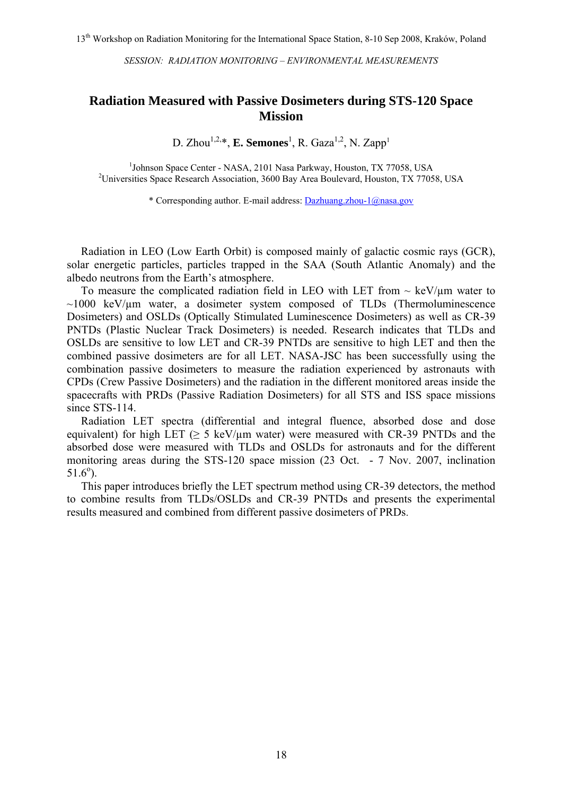#### **Radiation Measured with Passive Dosimeters during STS-120 Space Mission**

D. Zhou<sup>1,2,\*</sup>, **E. Semones**<sup>1</sup>, R. Gaza<sup>1,2</sup>, N. Zapp<sup>1</sup>

<sup>1</sup>Johnson Space Center - NASA, 2101 Nasa Parkway, Houston, TX 77058, USA<br><sup>2</sup>Universities Space Research Association, 2600 Bay Area Bouloused Houston, TX 7705 <sup>2</sup>Universities Space Research Association, 3600 Bay Area Boulevard, Houston, TX 77058, USA

\* Corresponding author. E-mail address: [Dazhuang.zhou-1@nasa.gov](mailto:Dazhuang.zhou-1@nasa.gov)

 Radiation in LEO (Low Earth Orbit) is composed mainly of galactic cosmic rays (GCR), solar energetic particles, particles trapped in the SAA (South Atlantic Anomaly) and the albedo neutrons from the Earth's atmosphere.

To measure the complicated radiation field in LEO with LET from  $\sim$  keV/ $\mu$ m water to  $\sim$ 1000 keV/ $\mu$ m water, a dosimeter system composed of TLDs (Thermoluminescence Dosimeters) and OSLDs (Optically Stimulated Luminescence Dosimeters) as well as CR-39 PNTDs (Plastic Nuclear Track Dosimeters) is needed. Research indicates that TLDs and OSLDs are sensitive to low LET and CR-39 PNTDs are sensitive to high LET and then the combined passive dosimeters are for all LET. NASA-JSC has been successfully using the combination passive dosimeters to measure the radiation experienced by astronauts with CPDs (Crew Passive Dosimeters) and the radiation in the different monitored areas inside the spacecrafts with PRDs (Passive Radiation Dosimeters) for all STS and ISS space missions since STS-114.

 Radiation LET spectra (differential and integral fluence, absorbed dose and dose equivalent) for high LET ( $\geq$  5 keV/ $\mu$ m water) were measured with CR-39 PNTDs and the absorbed dose were measured with TLDs and OSLDs for astronauts and for the different monitoring areas during the STS-120 space mission (23 Oct. - 7 Nov. 2007, inclination  $51.6^{\circ}$ ).

 This paper introduces briefly the LET spectrum method using CR-39 detectors, the method to combine results from TLDs/OSLDs and CR-39 PNTDs and presents the experimental results measured and combined from different passive dosimeters of PRDs.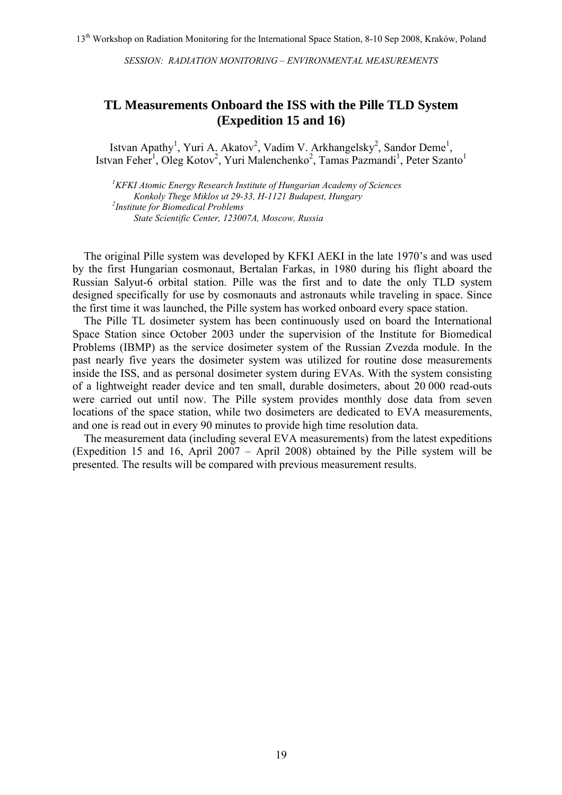#### **TL Measurements Onboard the ISS with the Pille TLD System (Expedition 15 and 16)**

Istvan Apathy<sup>1</sup>, Yuri A. Akatov<sup>2</sup>, Vadim V. Arkhangelsky<sup>2</sup>, Sandor Deme<sup>1</sup>, Istvan Feher<sup>1</sup>, Oleg Kotov<sup>2</sup>, Yuri Malenchenko<sup>2</sup>, Tamas Pazmandi<sup>1</sup>, Peter Szanto<sup>1</sup>

*1 KFKI Atomic Energy Research Institute of Hungarian Academy of Sciences Konkoly Thege Miklos ut 29-33, H-1121 Budapest, Hungary 2 Institute for Biomedical Problems State Scientific Center, 123007A, Moscow, Russia*

The original Pille system was developed by KFKI AEKI in the late 1970's and was used by the first Hungarian cosmonaut, Bertalan Farkas, in 1980 during his flight aboard the Russian Salyut-6 orbital station. Pille was the first and to date the only TLD system designed specifically for use by cosmonauts and astronauts while traveling in space. Since the first time it was launched, the Pille system has worked onboard every space station.

The Pille TL dosimeter system has been continuously used on board the International Space Station since October 2003 under the supervision of the Institute for Biomedical Problems (IBMP) as the service dosimeter system of the Russian Zvezda module. In the past nearly five years the dosimeter system was utilized for routine dose measurements inside the ISS, and as personal dosimeter system during EVAs. With the system consisting of a lightweight reader device and ten small, durable dosimeters, about 20 000 read-outs were carried out until now. The Pille system provides monthly dose data from seven locations of the space station, while two dosimeters are dedicated to EVA measurements, and one is read out in every 90 minutes to provide high time resolution data.

The measurement data (including several EVA measurements) from the latest expeditions (Expedition 15 and 16, April 2007 – April 2008) obtained by the Pille system will be presented. The results will be compared with previous measurement results.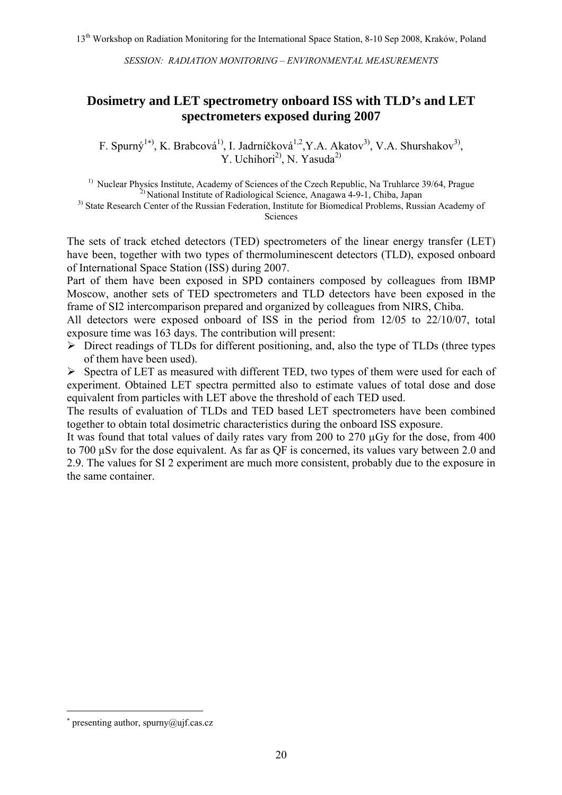#### **Dosimetry and LET spectrometry onboard ISS with TLD's and LET spectrometers exposed during 2007**

F. Spurný<sup>1\*)</sup>, K. Brabcová<sup>1)</sup>, I. Jadrníčková<sup>1,2</sup>, Y.A. Akatov<sup>3)</sup>, V.A. Shurshakov<sup>3)</sup>, Y. Uchihori<sup>2)</sup>, N. Yasuda<sup>2)</sup>

<sup>1)</sup> Nuclear Physics Institute, Academy of Sciences of the Czech Republic, Na Truhlarce 39/64, Prague  $2^{2}$  National Institute of Radiological Science, Anagawa 4-9-1, Chiba, Japan

<sup>3)</sup> State Research Center of the Russian Federation, Institute for Biomedical Problems, Russian Academy of Sciences

The sets of track etched detectors (TED) spectrometers of the linear energy transfer (LET) have been, together with two types of thermoluminescent detectors (TLD), exposed onboard of International Space Station (ISS) during 2007.

Part of them have been exposed in SPD containers composed by colleagues from IBMP Moscow, another sets of TED spectrometers and TLD detectors have been exposed in the frame of SI2 intercomparison prepared and organized by colleagues from NIRS, Chiba.

All detectors were exposed onboard of ISS in the period from 12/05 to 22/10/07, total exposure time was 163 days. The contribution will present:

 $\triangleright$  Direct readings of TLDs for different positioning, and, also the type of TLDs (three types of them have been used).

 $\triangleright$  Spectra of LET as measured with different TED, two types of them were used for each of experiment. Obtained LET spectra permitted also to estimate values of total dose and dose equivalent from particles with LET above the threshold of each TED used.

The results of evaluation of TLDs and TED based LET spectrometers have been combined together to obtain total dosimetric characteristics during the onboard ISS exposure.

It was found that total values of daily rates vary from 200 to 270 µGy for the dose, from 400 to 700 µSv for the dose equivalent. As far as QF is concerned, its values vary between 2.0 and 2.9. The values for SI 2 experiment are much more consistent, probably due to the exposure in the same container.

 $\overline{a}$ 

<span id="page-20-0"></span><sup>∗</sup> presenting author, spurny@ujf.cas.cz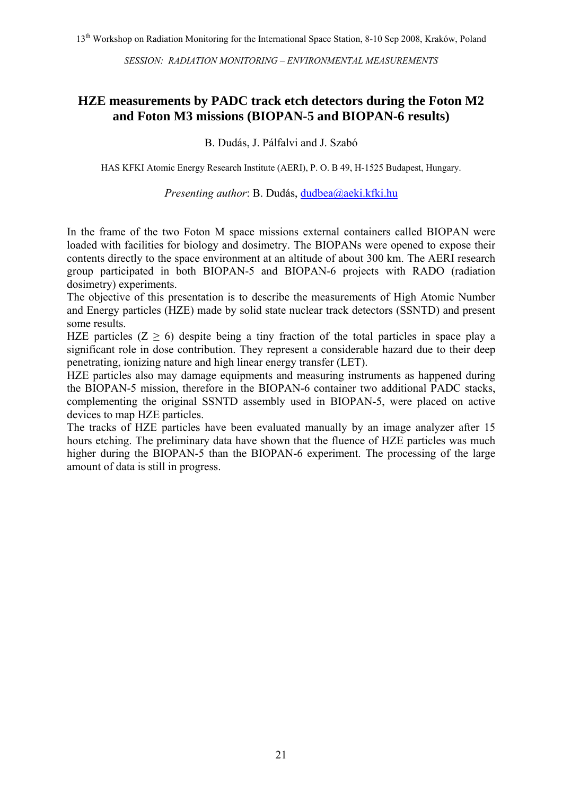#### **HZE measurements by PADC track etch detectors during the Foton M2 and Foton M3 missions (BIOPAN-5 and BIOPAN-6 results)**

B. Dudás, J. Pálfalvi and J. Szabó

HAS KFKI Atomic Energy Research Institute (AERI), P. O. B 49, H-1525 Budapest, Hungary.

#### *Presenting author*: B. Dudás, [dudbea@aeki.kfki.hu](mailto:jszabo@aeki.kfki.hu)

In the frame of the two Foton M space missions external containers called BIOPAN were loaded with facilities for biology and dosimetry. The BIOPANs were opened to expose their contents directly to the space environment at an altitude of about 300 km. The AERI research group participated in both BIOPAN-5 and BIOPAN-6 projects with RADO (radiation dosimetry) experiments.

The objective of this presentation is to describe the measurements of High Atomic Number and Energy particles (HZE) made by solid state nuclear track detectors (SSNTD) and present some results.

HZE particles  $(Z \ge 6)$  despite being a tiny fraction of the total particles in space play a significant role in dose contribution. They represent a considerable hazard due to their deep penetrating, ionizing nature and high linear energy transfer (LET).

HZE particles also may damage equipments and measuring instruments as happened during the BIOPAN-5 mission, therefore in the BIOPAN-6 container two additional PADC stacks, complementing the original SSNTD assembly used in BIOPAN-5, were placed on active devices to map HZE particles.

The tracks of HZE particles have been evaluated manually by an image analyzer after 15 hours etching. The preliminary data have shown that the fluence of HZE particles was much higher during the BIOPAN-5 than the BIOPAN-6 experiment. The processing of the large amount of data is still in progress.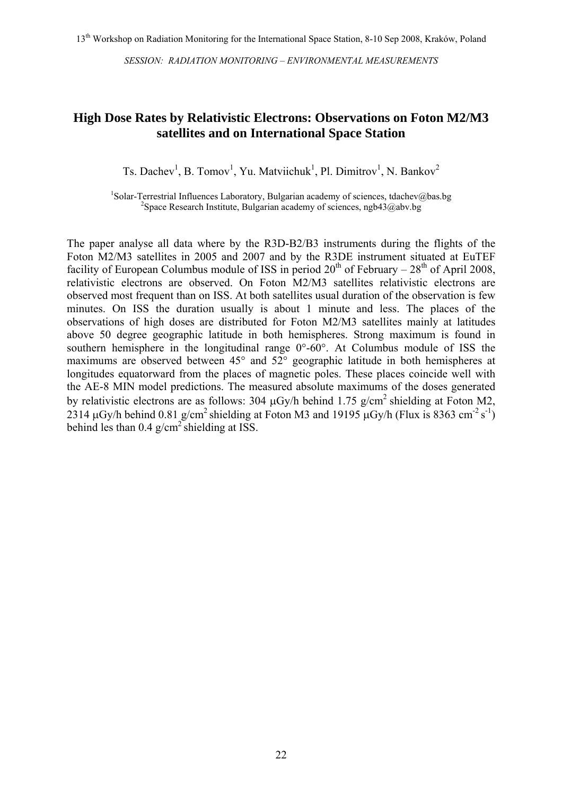#### **High Dose Rates by Relativistic Electrons: Observations on Foton M2/M3 satellites and on International Space Station**

Ts. Dachev<sup>1</sup>, B. Tomov<sup>1</sup>, Yu. Matviichuk<sup>1</sup>, Pl. Dimitrov<sup>1</sup>, N. Bankov<sup>2</sup>

<sup>1</sup>Solar-Terrestrial Influences Laboratory, Bulgarian academy of sciences, tdachev@bas.bg <sup>2</sup>Space Bessereb Institute, Bulgarian academy of sciences, neb42@bu.bg <sup>2</sup>Space Research Institute, Bulgarian academy of sciences, ngb43@abv.bg

The paper analyse all data where by the R3D-B2/B3 instruments during the flights of the Foton M2/M3 satellites in 2005 and 2007 and by the R3DE instrument situated at EuTEF facility of European Columbus module of ISS in period  $20<sup>th</sup>$  of February –  $28<sup>th</sup>$  of April 2008, relativistic electrons are observed. On Foton M2/M3 satellites relativistic electrons are observed most frequent than on ISS. At both satellites usual duration of the observation is few minutes. On ISS the duration usually is about 1 minute and less. The places of the observations of high doses are distributed for Foton M2/M3 satellites mainly at latitudes above 50 degree geographic latitude in both hemispheres. Strong maximum is found in southern hemisphere in the longitudinal range  $0^{\circ}$ -60°. At Columbus module of ISS the maximums are observed between 45° and 52° geographic latitude in both hemispheres at longitudes equatorward from the places of magnetic poles. These places coincide well with the AE-8 MIN model predictions. The measured absolute maximums of the doses generated by relativistic electrons are as follows: 304  $\mu$ Gy/h behind 1.75 g/cm<sup>2</sup> shielding at Foton M2, 2314  $\mu$ Gy/h behind 0.81 g/cm<sup>2</sup> shielding at Foton M3 and 19195  $\mu$ Gy/h (Flux is 8363 cm<sup>-2</sup> s<sup>-1</sup>) behind les than  $0.4 \text{ g/cm}^2$  shielding at ISS.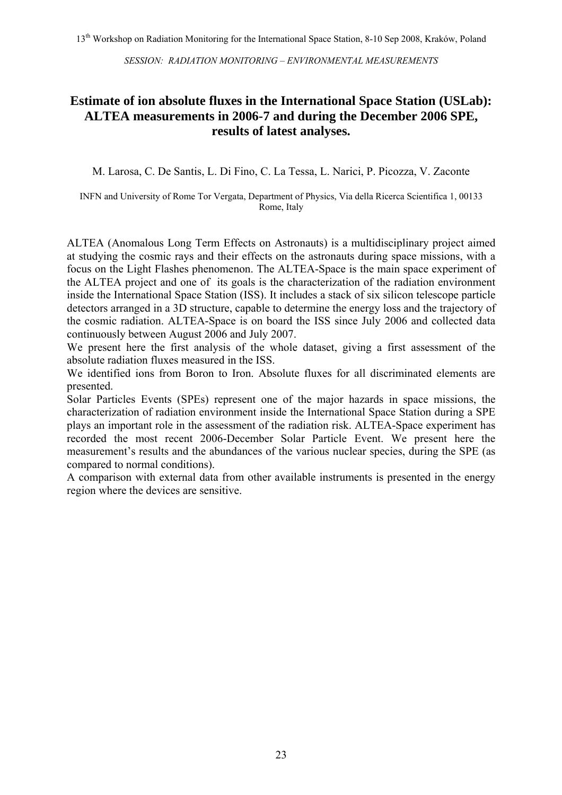### **Estimate of ion absolute fluxes in the International Space Station (USLab): ALTEA measurements in 2006-7 and during the December 2006 SPE, results of latest analyses.**

M. Larosa, C. De Santis, L. Di Fino, C. La Tessa, L. Narici, P. Picozza, V. Zaconte

INFN and University of Rome Tor Vergata, Department of Physics, Via della Ricerca Scientifica 1, 00133 Rome, Italy

ALTEA (Anomalous Long Term Effects on Astronauts) is a multidisciplinary project aimed at studying the cosmic rays and their effects on the astronauts during space missions, with a focus on the Light Flashes phenomenon. The ALTEA-Space is the main space experiment of the ALTEA project and one of its goals is the characterization of the radiation environment inside the International Space Station (ISS). It includes a stack of six silicon telescope particle detectors arranged in a 3D structure, capable to determine the energy loss and the trajectory of the cosmic radiation. ALTEA-Space is on board the ISS since July 2006 and collected data continuously between August 2006 and July 2007.

We present here the first analysis of the whole dataset, giving a first assessment of the absolute radiation fluxes measured in the ISS.

We identified ions from Boron to Iron. Absolute fluxes for all discriminated elements are presented.

Solar Particles Events (SPEs) represent one of the major hazards in space missions, the characterization of radiation environment inside the International Space Station during a SPE plays an important role in the assessment of the radiation risk. ALTEA-Space experiment has recorded the most recent 2006-December Solar Particle Event. We present here the measurement's results and the abundances of the various nuclear species, during the SPE (as compared to normal conditions).

A comparison with external data from other available instruments is presented in the energy region where the devices are sensitive.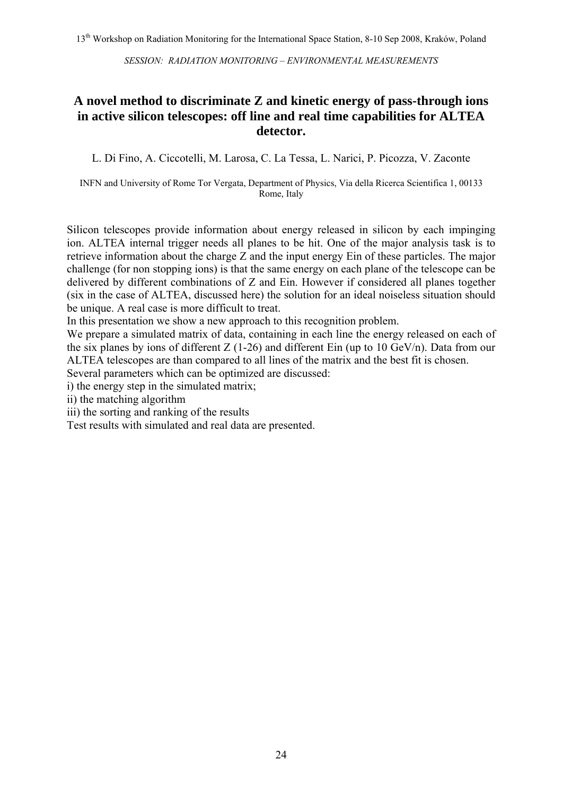### **A novel method to discriminate Z and kinetic energy of pass-through ions in active silicon telescopes: off line and real time capabilities for ALTEA detector.**

L. Di Fino, A. Ciccotelli, M. Larosa, C. La Tessa, L. Narici, P. Picozza, V. Zaconte

INFN and University of Rome Tor Vergata, Department of Physics, Via della Ricerca Scientifica 1, 00133 Rome, Italy

Silicon telescopes provide information about energy released in silicon by each impinging ion. ALTEA internal trigger needs all planes to be hit. One of the major analysis task is to retrieve information about the charge Z and the input energy Ein of these particles. The major challenge (for non stopping ions) is that the same energy on each plane of the telescope can be delivered by different combinations of Z and Ein. However if considered all planes together (six in the case of ALTEA, discussed here) the solution for an ideal noiseless situation should be unique. A real case is more difficult to treat.

In this presentation we show a new approach to this recognition problem.

We prepare a simulated matrix of data, containing in each line the energy released on each of the six planes by ions of different  $Z$  (1-26) and different Ein (up to 10 GeV/n). Data from our ALTEA telescopes are than compared to all lines of the matrix and the best fit is chosen.

Several parameters which can be optimized are discussed:

i) the energy step in the simulated matrix;

ii) the matching algorithm

iii) the sorting and ranking of the results

Test results with simulated and real data are presented.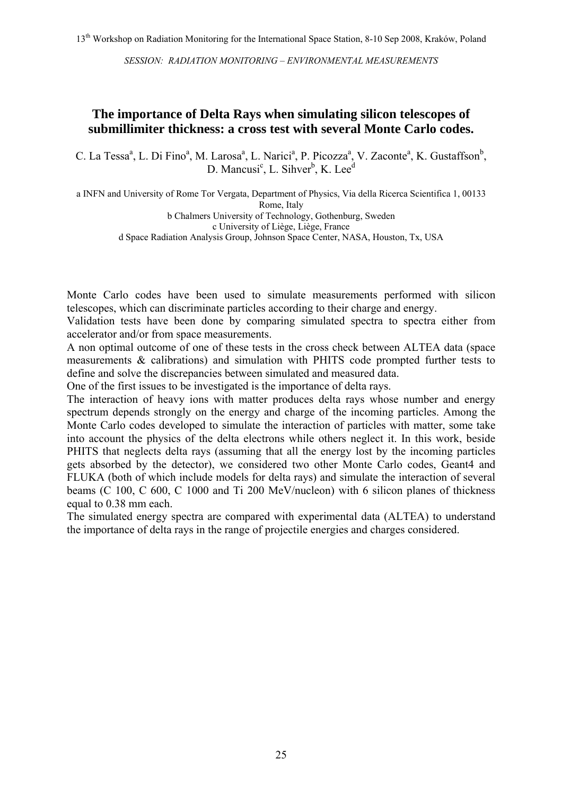#### **The importance of Delta Rays when simulating silicon telescopes of submillimiter thickness: a cross test with several Monte Carlo codes.**

C. La Tessa<sup>a</sup>, L. Di Fino<sup>a</sup>, M. Larosa<sup>a</sup>, L. Narici<sup>a</sup>, P. Picozza<sup>a</sup>, V. Zaconte<sup>a</sup>, K. Gustaffson<sup>b</sup>, D. Mancusi<sup>c</sup>, L. Sihver<sup>b</sup>, K. Lee<sup>d</sup>

a INFN and University of Rome Tor Vergata, Department of Physics, Via della Ricerca Scientifica 1, 00133 Rome, Italy b Chalmers University of Technology, Gothenburg, Sweden c University of Liège, Liège, France

d Space Radiation Analysis Group, Johnson Space Center, NASA, Houston, Tx, USA

Monte Carlo codes have been used to simulate measurements performed with silicon telescopes, which can discriminate particles according to their charge and energy.

Validation tests have been done by comparing simulated spectra to spectra either from accelerator and/or from space measurements.

A non optimal outcome of one of these tests in the cross check between ALTEA data (space measurements & calibrations) and simulation with PHITS code prompted further tests to define and solve the discrepancies between simulated and measured data.

One of the first issues to be investigated is the importance of delta rays.

The interaction of heavy ions with matter produces delta rays whose number and energy spectrum depends strongly on the energy and charge of the incoming particles. Among the Monte Carlo codes developed to simulate the interaction of particles with matter, some take into account the physics of the delta electrons while others neglect it. In this work, beside PHITS that neglects delta rays (assuming that all the energy lost by the incoming particles gets absorbed by the detector), we considered two other Monte Carlo codes, Geant4 and FLUKA (both of which include models for delta rays) and simulate the interaction of several beams (C 100, C 600, C 1000 and Ti 200 MeV/nucleon) with 6 silicon planes of thickness equal to 0.38 mm each.

The simulated energy spectra are compared with experimental data (ALTEA) to understand the importance of delta rays in the range of projectile energies and charges considered.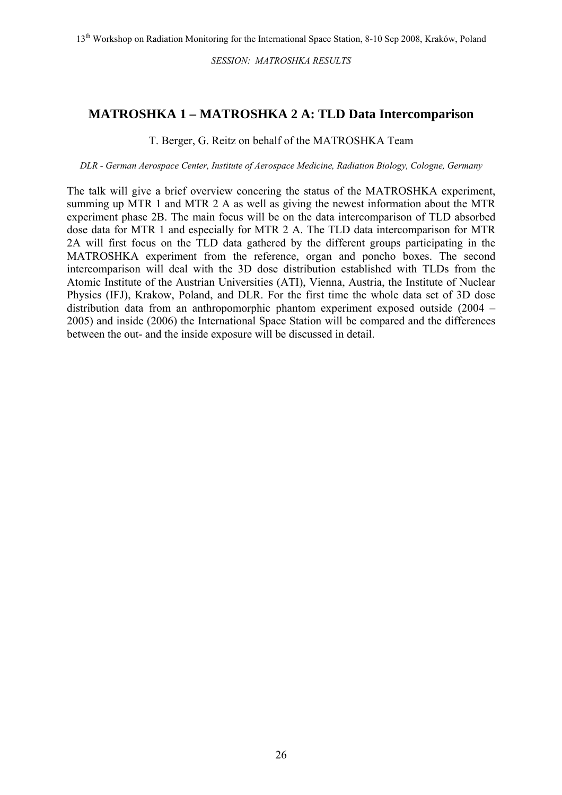### **MATROSHKA 1 – MATROSHKA 2 A: TLD Data Intercomparison**

T. Berger, G. Reitz on behalf of the MATROSHKA Team

*DLR - German Aerospace Center, Institute of Aerospace Medicine, Radiation Biology, Cologne, Germany*

The talk will give a brief overview concering the status of the MATROSHKA experiment, summing up MTR 1 and MTR 2 A as well as giving the newest information about the MTR experiment phase 2B. The main focus will be on the data intercomparison of TLD absorbed dose data for MTR 1 and especially for MTR 2 A. The TLD data intercomparison for MTR 2A will first focus on the TLD data gathered by the different groups participating in the MATROSHKA experiment from the reference, organ and poncho boxes. The second intercomparison will deal with the 3D dose distribution established with TLDs from the Atomic Institute of the Austrian Universities (ATI), Vienna, Austria, the Institute of Nuclear Physics (IFJ), Krakow, Poland, and DLR. For the first time the whole data set of 3D dose distribution data from an anthropomorphic phantom experiment exposed outside (2004 – 2005) and inside (2006) the International Space Station will be compared and the differences between the out- and the inside exposure will be discussed in detail.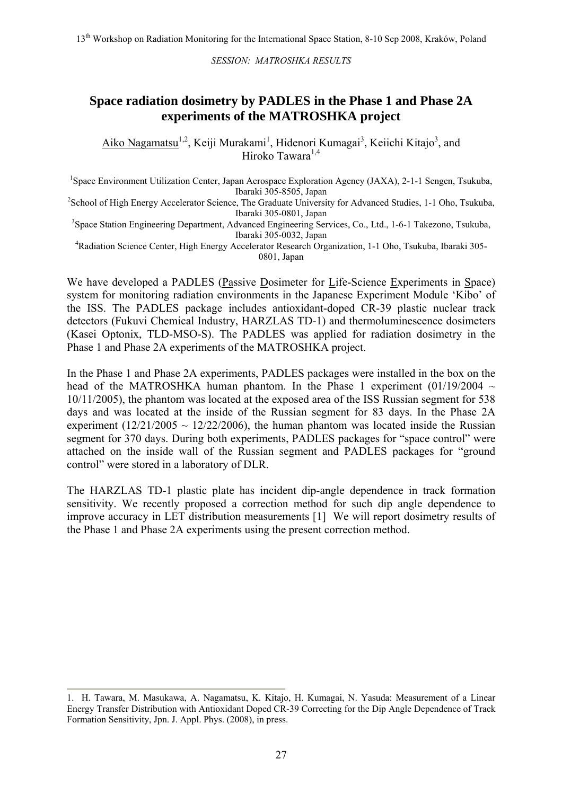### **Space radiation dosimetry by PADLES in the Phase 1 and Phase 2A experiments of the MATROSHKA project**

Aiko Nagamatsu<sup>1,2</sup>, Keiji Murakami<sup>1</sup>, Hidenori Kumagai<sup>3</sup>, Keiichi Kitajo<sup>3</sup>, and Hiroko Tawara<sup>1,4</sup>

<sup>1</sup>Space Environment Utilization Center, Japan Aerospace Exploration Agency (JAXA), 2-1-1 Sengen, Tsukuba,

Ibaraki 305-8505, Japan<br><sup>2</sup>School of High Energy Accelerator Science, The Graduate University for Advanced Studies, 1-1 Oho, Tsukuba, Ibaraki 305-0801, Japan<br><sup>3</sup>Space Station Engineering Department, Advanced Engineering Services, Co., Ltd., 1-6-1 Takezono, Tsukuba,

Ibaraki 305-0032, Japan<br>4 Radiation Science Center, High Energy Accelerator Research Organization, 1-1 Oho, Tsukuba, Ibaraki 305-

0801, Japan

We have developed a PADLES (Passive Dosimeter for Life-Science Experiments in Space) system for monitoring radiation environments in the Japanese Experiment Module 'Kibo' of the ISS. The PADLES package includes antioxidant-doped CR-39 plastic nuclear track detectors (Fukuvi Chemical Industry, HARZLAS TD-1) and thermoluminescence dosimeters (Kasei Optonix, TLD-MSO-S). The PADLES was applied for radiation dosimetry in the Phase 1 and Phase 2A experiments of the MATROSHKA project.

In the Phase 1 and Phase 2A experiments, PADLES packages were installed in the box on the head of the MATROSHKA human phantom. In the Phase 1 experiment  $(01/19/2004 \sim$ 10/11/2005), the phantom was located at the exposed area of the ISS Russian segment for 538 days and was located at the inside of the Russian segment for 83 days. In the Phase 2A experiment ( $12/21/2005 \sim 12/22/2006$ ), the human phantom was located inside the Russian segment for 370 days. During both experiments, PADLES packages for "space control" were attached on the inside wall of the Russian segment and PADLES packages for "ground control" were stored in a laboratory of DLR.

The HARZLAS TD-1 plastic plate has incident dip-angle dependence in track formation sensitivity. We recently proposed a correction method for such dip angle dependence to improve accuracy in LET distribution measurements [1] We will report dosimetry results of the Phase 1 and Phase 2A experiments using the present correction method.

<sup>1.</sup> H. Tawara, M. Masukawa, A. Nagamatsu, K. Kitajo, H. Kumagai, N. Yasuda: Measurement of a Linear Energy Transfer Distribution with Antioxidant Doped CR-39 Correcting for the Dip Angle Dependence of Track Formation Sensitivity, Jpn. J. Appl. Phys. (2008), in press.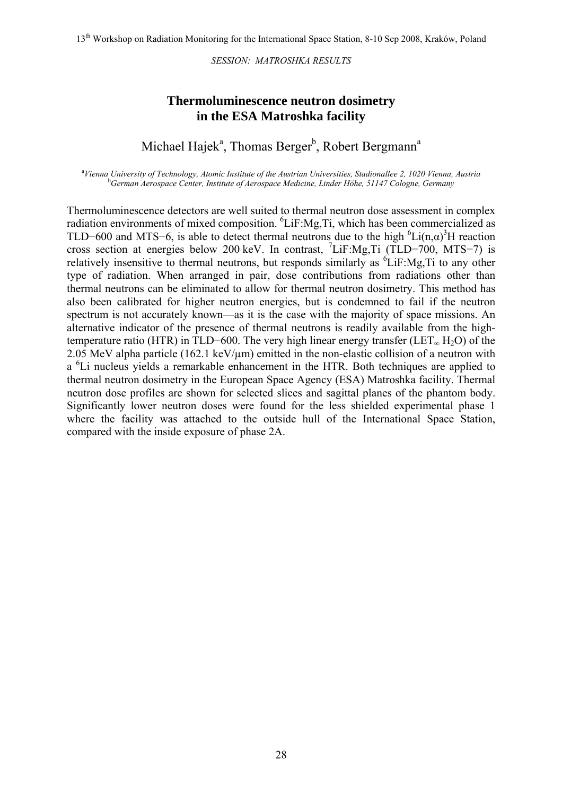#### **Thermoluminescence neutron dosimetry in the ESA Matroshka facility**

## Michael Hajek<sup>a</sup>, Thomas Berger<sup>b</sup>, Robert Bergmann<sup>a</sup>

<sup>a</sup>Vienna University of Technology, Atomic Institute of the Austrian Universities, Stadionallee 2, 1020 Vienna, Austria **b**<br>**bCowman Agreement Center Institute of Agreement Modesing Linder Höhe 51147 Cologna Germany** *German Aerospace Center, Institute of Aerospace Medicine, Linder Höhe, 51147 Cologne, Germany* 

Thermoluminescence detectors are well suited to thermal neutron dose assessment in complex radiation environments of mixed composition. <sup>6</sup>LiF:Mg,Ti, which has been commercialized as TLD–600 and MTS–6, is able to detect thermal neutrons due to the high  ${}^{6}Li(n,\alpha)^{3}H$  reaction cross section at energies below 200 keV. In contrast, <sup>7</sup> LiF:Mg,Ti (TLD−700, MTS−7) is relatively insensitive to thermal neutrons, but responds similarly as  ${}^{6}LiF$ :Mg,Ti to any other type of radiation. When arranged in pair, dose contributions from radiations other than thermal neutrons can be eliminated to allow for thermal neutron dosimetry. This method has also been calibrated for higher neutron energies, but is condemned to fail if the neutron spectrum is not accurately known—as it is the case with the majority of space missions. An alternative indicator of the presence of thermal neutrons is readily available from the hightemperature ratio (HTR) in TLD–600. The very high linear energy transfer (LET<sub>∞</sub> H<sub>2</sub>O) of the 2.05 MeV alpha particle (162.1 keV/ $\mu$ m) emitted in the non-elastic collision of a neutron with a <sup>6</sup>Li nucleus yields a remarkable enhancement in the HTR. Both techniques are applied to thermal neutron dosimetry in the European Space Agency (ESA) Matroshka facility. Thermal neutron dose profiles are shown for selected slices and sagittal planes of the phantom body. Significantly lower neutron doses were found for the less shielded experimental phase 1 where the facility was attached to the outside hull of the International Space Station, compared with the inside exposure of phase 2A.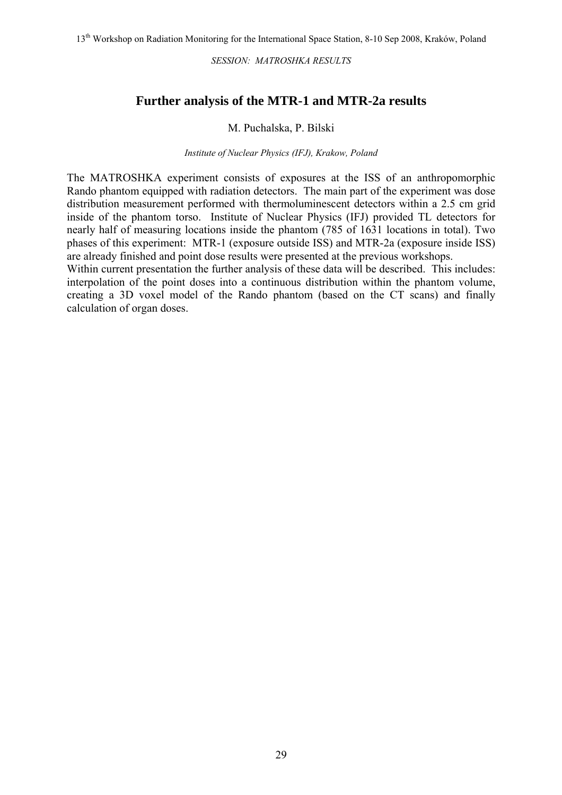#### **Further analysis of the MTR-1 and MTR-2a results**

#### M. Puchalska, P. Bilski

#### *Institute of Nuclear Physics (IFJ), Krakow, Poland*

The MATROSHKA experiment consists of exposures at the ISS of an anthropomorphic Rando phantom equipped with radiation detectors. The main part of the experiment was dose distribution measurement performed with thermoluminescent detectors within a 2.5 cm grid inside of the phantom torso. Institute of Nuclear Physics (IFJ) provided TL detectors for nearly half of measuring locations inside the phantom (785 of 1631 locations in total). Two phases of this experiment: MTR-1 (exposure outside ISS) and MTR-2a (exposure inside ISS) are already finished and point dose results were presented at the previous workshops.

Within current presentation the further analysis of these data will be described. This includes: interpolation of the point doses into a continuous distribution within the phantom volume, creating a 3D voxel model of the Rando phantom (based on the CT scans) and finally calculation of organ doses.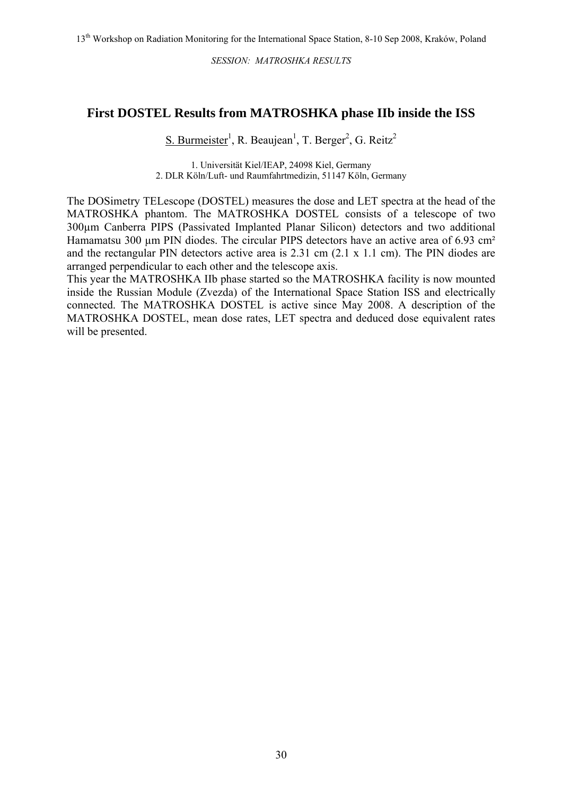#### **First DOSTEL Results from MATROSHKA phase IIb inside the ISS**

S. Burmeister<sup>1</sup>, R. Beaujean<sup>1</sup>, T. Berger<sup>2</sup>, G. Reitz<sup>2</sup>

1. Universität Kiel/IEAP, 24098 Kiel, Germany 2. DLR Köln/Luft- und Raumfahrtmedizin, 51147 Köln, Germany

The DOSimetry TELescope (DOSTEL) measures the dose and LET spectra at the head of the MATROSHKA phantom. The MATROSHKA DOSTEL consists of a telescope of two 300µm Canberra PIPS (Passivated Implanted Planar Silicon) detectors and two additional Hamamatsu 300 µm PIN diodes. The circular PIPS detectors have an active area of 6.93 cm<sup>2</sup> and the rectangular PIN detectors active area is 2.31 cm (2.1 x 1.1 cm). The PIN diodes are arranged perpendicular to each other and the telescope axis.

This year the MATROSHKA IIb phase started so the MATROSHKA facility is now mounted inside the Russian Module (Zvezda) of the International Space Station ISS and electrically connected. The MATROSHKA DOSTEL is active since May 2008. A description of the MATROSHKA DOSTEL, mean dose rates, LET spectra and deduced dose equivalent rates will be presented.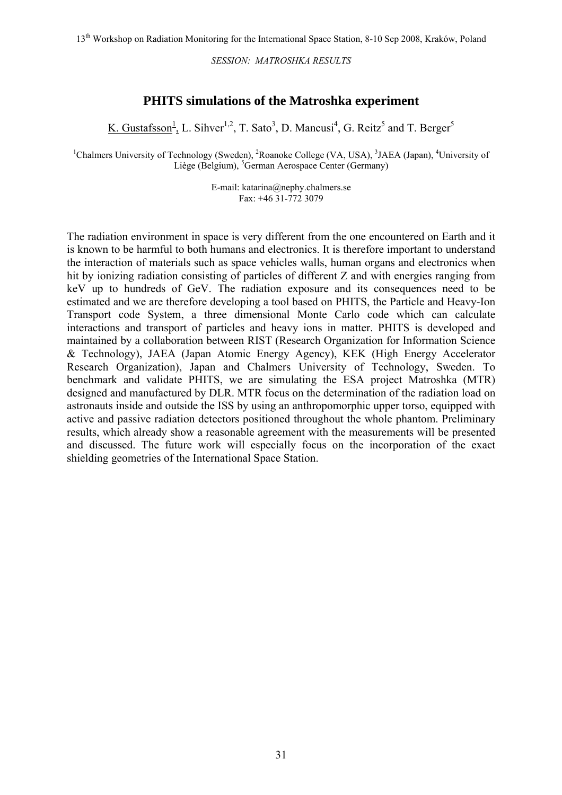#### **PHITS simulations of the Matroshka experiment**

K. Gustafsson<sup>1</sup>, L. Sihver<sup>1,2</sup>, T. Sato<sup>3</sup>, D. Mancusi<sup>4</sup>, G. Reitz<sup>5</sup> and T. Berger<sup>5</sup>

<sup>1</sup>Chalmers University of Technology (Sweden), <sup>2</sup>Roanoke College (VA, USA), <sup>3</sup>JAEA (Japan), <sup>4</sup>University of Liège (Belgium), <sup>5</sup>German Aerospace Center (Germany)

> E-mail: katarina@nephy.chalmers.se Fax: +46 31-772 3079

The radiation environment in space is very different from the one encountered on Earth and it is known to be harmful to both humans and electronics. It is therefore important to understand the interaction of materials such as space vehicles walls, human organs and electronics when hit by ionizing radiation consisting of particles of different Z and with energies ranging from keV up to hundreds of GeV. The radiation exposure and its consequences need to be estimated and we are therefore developing a tool based on PHITS, the Particle and Heavy-Ion Transport code System, a three dimensional Monte Carlo code which can calculate interactions and transport of particles and heavy ions in matter. PHITS is developed and maintained by a collaboration between RIST (Research Organization for Information Science & Technology), JAEA (Japan Atomic Energy Agency), KEK (High Energy Accelerator Research Organization), Japan and Chalmers University of Technology, Sweden. To benchmark and validate PHITS, we are simulating the ESA project Matroshka (MTR) designed and manufactured by DLR. MTR focus on the determination of the radiation load on astronauts inside and outside the ISS by using an anthropomorphic upper torso, equipped with active and passive radiation detectors positioned throughout the whole phantom. Preliminary results, which already show a reasonable agreement with the measurements will be presented and discussed. The future work will especially focus on the incorporation of the exact shielding geometries of the International Space Station.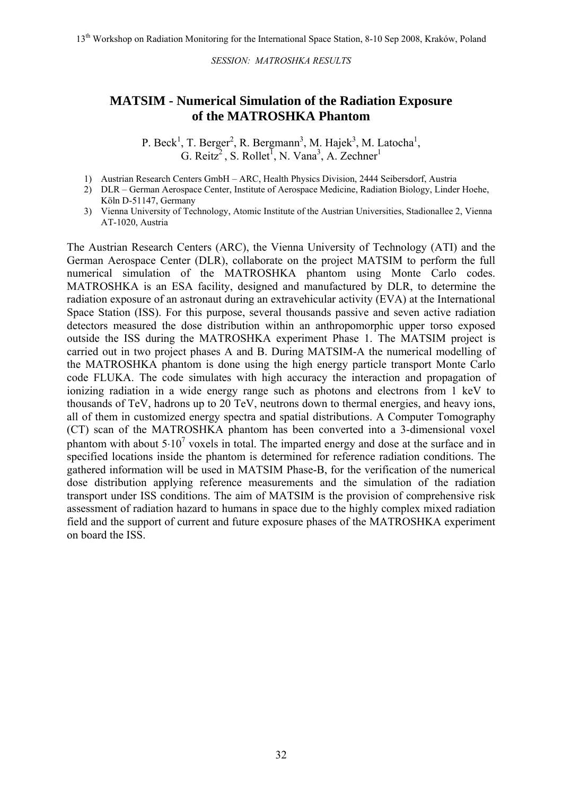#### **MATSIM - Numerical Simulation of the Radiation Exposure of the MATROSHKA Phantom**

P. Beck<sup>1</sup>, T. Berger<sup>2</sup>, R. Bergmann<sup>3</sup>, M. Hajek<sup>3</sup>, M. Latocha<sup>1</sup>, G. Reitz<sup>2</sup>, S. Rollet<sup>1</sup>, N. Vana<sup>3</sup>, A. Zechner<sup>1</sup>

- 1) Austrian Research Centers GmbH ARC, Health Physics Division, 2444 Seibersdorf, Austria
- 2) DLR German Aerospace Center, Institute of Aerospace Medicine, Radiation Biology, Linder Hoehe, Köln D-51147, Germany
- 3) Vienna University of Technology, Atomic Institute of the Austrian Universities, Stadionallee 2, Vienna AT-1020, Austria

The Austrian Research Centers (ARC), the Vienna University of Technology (ATI) and the German Aerospace Center (DLR), collaborate on the project MATSIM to perform the full numerical simulation of the MATROSHKA phantom using Monte Carlo codes. MATROSHKA is an ESA facility, designed and manufactured by DLR, to determine the radiation exposure of an astronaut during an extravehicular activity (EVA) at the International Space Station (ISS). For this purpose, several thousands passive and seven active radiation detectors measured the dose distribution within an anthropomorphic upper torso exposed outside the ISS during the MATROSHKA experiment Phase 1. The MATSIM project is carried out in two project phases A and B. During MATSIM-A the numerical modelling of the MATROSHKA phantom is done using the high energy particle transport Monte Carlo code FLUKA. The code simulates with high accuracy the interaction and propagation of ionizing radiation in a wide energy range such as photons and electrons from 1 keV to thousands of TeV, hadrons up to 20 TeV, neutrons down to thermal energies, and heavy ions, all of them in customized energy spectra and spatial distributions. A Computer Tomography (CT) scan of the MATROSHKA phantom has been converted into a 3-dimensional voxel phantom with about  $5.10^7$  voxels in total. The imparted energy and dose at the surface and in specified locations inside the phantom is determined for reference radiation conditions. The gathered information will be used in MATSIM Phase-B, for the verification of the numerical dose distribution applying reference measurements and the simulation of the radiation transport under ISS conditions. The aim of MATSIM is the provision of comprehensive risk assessment of radiation hazard to humans in space due to the highly complex mixed radiation field and the support of current and future exposure phases of the MATROSHKA experiment on board the ISS.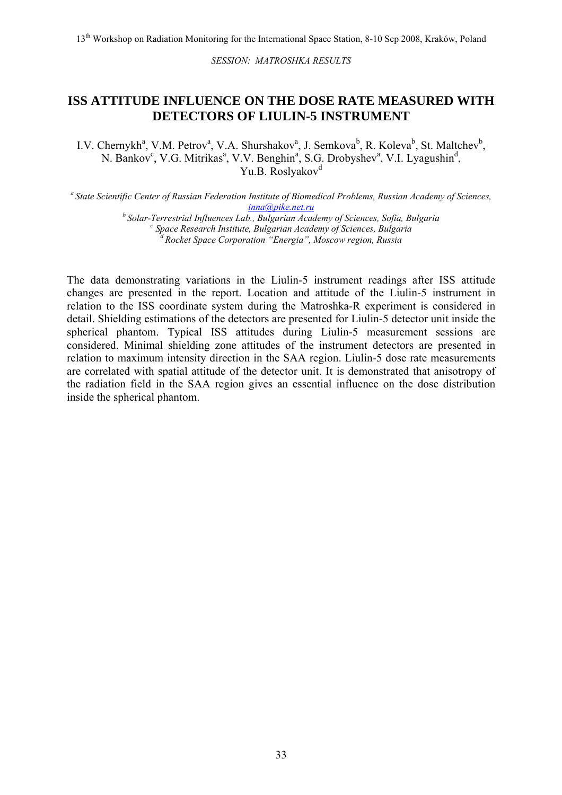#### **ISS ATTITUDE INFLUENCE ON THE DOSE RATE MEASURED WITH DETECTORS OF LIULIN-5 INSTRUMENT**

I.V. Chernykh<sup>a</sup>, V.M. Petrov<sup>a</sup>, V.A. Shurshakov<sup>a</sup>, J. Semkova<sup>b</sup>, R. Koleva<sup>b</sup>, St. Maltchev<sup>b</sup>, N. Bankov<sup>c</sup>, V.G. Mitrikas<sup>a</sup>, V.V. Benghin<sup>a</sup>, S.G. Drobyshev<sup>a</sup>, V.I. Lyagushin<sup>d</sup>, Yu B. Roslyakov<sup>d</sup>

*a State Scientific Center of Russian Federation Institute of Biomedical Problems, Russian Academy of Sciences, [inna@pike.net.ru](mailto:inna@pike.net.ru)*

*b Solar-Terrestrial Influences Lab., Bulgarian Academy of Sciences, Sofia, Bulgaria <sup>c</sup> Space Research Institute, Bulgarian Academy of Sciences, Bulgaria d Rocket Space Corporation "Energia", Moscow region, Russia* 

The data demonstrating variations in the Liulin-5 instrument readings after ISS attitude changes are presented in the report. Location and attitude of the Liulin-5 instrument in relation to the ISS coordinate system during the Matroshka-R experiment is considered in detail. Shielding estimations of the detectors are presented for Liulin-5 detector unit inside the spherical phantom. Typical ISS attitudes during Liulin-5 measurement sessions are considered. Minimal shielding zone attitudes of the instrument detectors are presented in relation to maximum intensity direction in the SAA region. Liulin-5 dose rate measurements are correlated with spatial attitude of the detector unit. It is demonstrated that anisotropy of the radiation field in the SAA region gives an essential influence on the dose distribution inside the spherical phantom.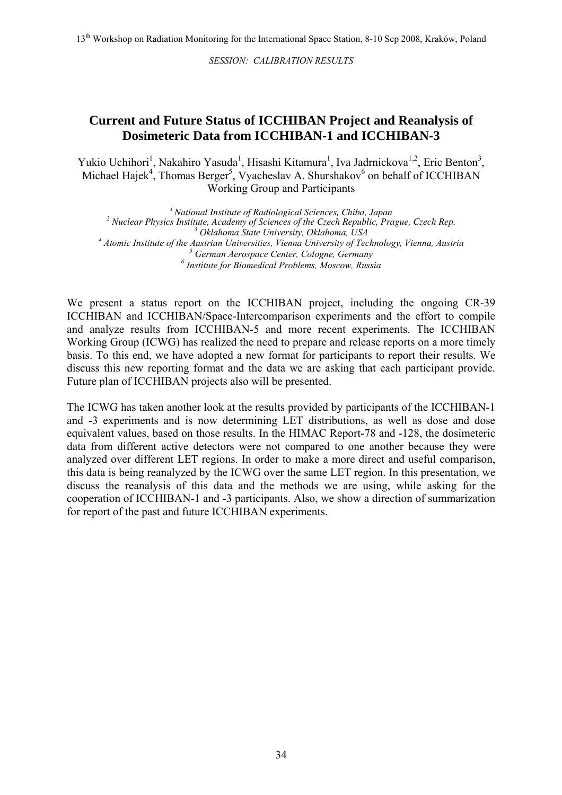#### **Current and Future Status of ICCHIBAN Project and Reanalysis of Dosimeteric Data from ICCHIBAN-1 and ICCHIBAN-3**

Yukio Uchihori<sup>1</sup>, Nakahiro Yasuda<sup>1</sup>, Hisashi Kitamura<sup>1</sup>, Iva Jadrnickova<sup>1,2</sup>, Eric Benton<sup>3</sup>, Michael Hajek<sup>4</sup>, Thomas Berger<sup>5</sup>, Vyacheslav A. Shurshakov<sup>6</sup> on behalf of ICCHIBAN Working Group and Participants

*1 National Institute of Radiological Sciences, Chiba, Japan 2 Nuclear Physics Institute, Academy of Sciences of the Czech Republic, Prague, Czech Rep. <sup>3</sup> Oklahoma State University, Oklahoma, USA <sup>4</sup> Atomic Institute of the Austrian Universities, Vienna University of Technology, Vienna, Austria <sup>5</sup> German Aerospace Center, Cologne, Germany 6 Institute for Biomedical Problems, Moscow, Russia*

We present a status report on the ICCHIBAN project, including the ongoing CR-39 ICCHIBAN and ICCHIBAN/Space-Intercomparison experiments and the effort to compile and analyze results from ICCHIBAN-5 and more recent experiments. The ICCHIBAN Working Group (ICWG) has realized the need to prepare and release reports on a more timely basis. To this end, we have adopted a new format for participants to report their results. We discuss this new reporting format and the data we are asking that each participant provide. Future plan of ICCHIBAN projects also will be presented.

The ICWG has taken another look at the results provided by participants of the ICCHIBAN-1 and -3 experiments and is now determining LET distributions, as well as dose and dose equivalent values, based on those results. In the HIMAC Report-78 and -128, the dosimeteric data from different active detectors were not compared to one another because they were analyzed over different LET regions. In order to make a more direct and useful comparison, this data is being reanalyzed by the ICWG over the same LET region. In this presentation, we discuss the reanalysis of this data and the methods we are using, while asking for the cooperation of ICCHIBAN-1 and -3 participants. Also, we show a direction of summarization for report of the past and future ICCHIBAN experiments.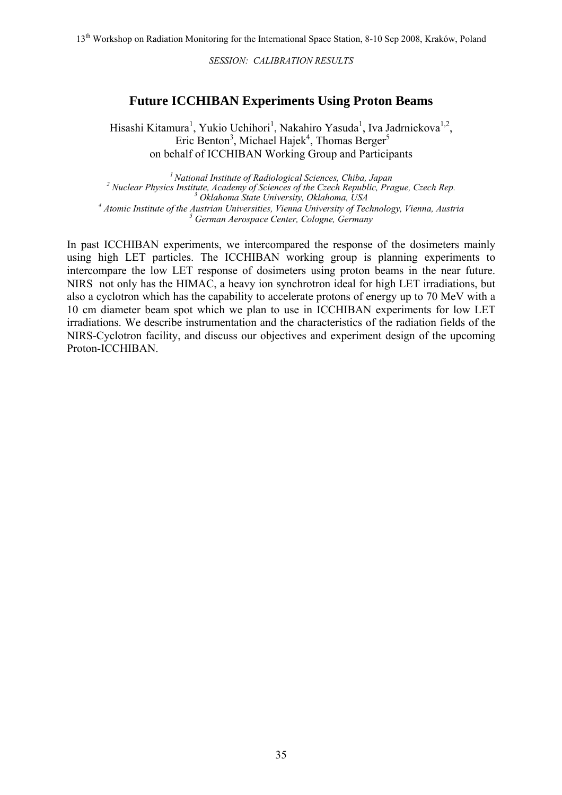## **Future ICCHIBAN Experiments Using Proton Beams**

Hisashi Kitamura<sup>1</sup>, Yukio Uchihori<sup>1</sup>, Nakahiro Yasuda<sup>1</sup>, Iva Jadrnickova<sup>1,2</sup>, Eric Benton<sup>3</sup>, Michael Hajek<sup>4</sup>, Thomas Berger<sup>5</sup> on behalf of ICCHIBAN Working Group and Participants

*1 National Institute of Radiological Sciences, Chiba, Japan 2 Nuclear Physics Institute, Academy of Sciences of the Czech Republic, Prague, Czech Rep. <sup>3</sup> Oklahoma State University, Oklahoma, USA <sup>4</sup> Atomic Institute of the Austrian Universities, Vienna University of Technology, Vienna, Austria <sup>5</sup> German Aerospace Center, Cologne, Germany*

In past ICCHIBAN experiments, we intercompared the response of the dosimeters mainly using high LET particles. The ICCHIBAN working group is planning experiments to intercompare the low LET response of dosimeters using proton beams in the near future. NIRS not only has the HIMAC, a heavy ion synchrotron ideal for high LET irradiations, but also a cyclotron which has the capability to accelerate protons of energy up to 70 MeV with a 10 cm diameter beam spot which we plan to use in ICCHIBAN experiments for low LET irradiations. We describe instrumentation and the characteristics of the radiation fields of the NIRS-Cyclotron facility, and discuss our objectives and experiment design of the upcoming Proton-ICCHIBAN.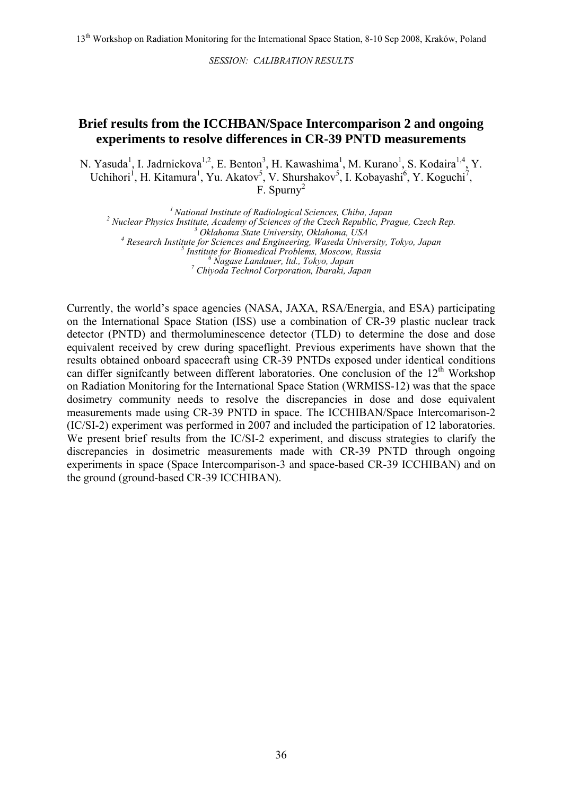13<sup>th</sup> Workshop on Radiation Monitoring for the International Space Station, 8-10 Sep 2008, Kraków, Poland

*SESSION: CALIBRATION RESULTS* 

#### **Brief results from the ICCHBAN/Space Intercomparison 2 and ongoing experiments to resolve differences in CR-39 PNTD measurements**

N. Yasuda<sup>1</sup>, I. Jadrnickova<sup>1,2</sup>, E. Benton<sup>3</sup>, H. Kawashima<sup>1</sup>, M. Kurano<sup>1</sup>, S. Kodaira<sup>1,4</sup>, Y. Uchihori<sup>1</sup>, H. Kitamura<sup>1</sup>, Yu. Akatov<sup>5</sup>, V. Shurshakov<sup>5</sup>, I. Kobayashi<sup>6</sup>, Y. Koguchi<sup>7</sup>, F. Spurn $v^2$ 

*1 National Institute of Radiological Sciences, Chiba, Japan 2 Nuclear Physics Institute, Academy of Sciences of the Czech Republic, Prague, Czech Rep. <sup>3</sup> Oklahoma State University, Oklahoma, USA <sup>4</sup> Research Institute for Sciences and Engineering, Waseda University, Tokyo, Japan <sup>5</sup> Institute for Biomedical Problems, Moscow, Russia <sup>6</sup> Nagase Landauer, ltd., Tokyo, Japan 7 Chiyoda Technol Corporation, Ibaraki, Japan* 

Currently, the world's space agencies (NASA, JAXA, RSA/Energia, and ESA) participating on the International Space Station (ISS) use a combination of CR-39 plastic nuclear track detector (PNTD) and thermoluminescence detector (TLD) to determine the dose and dose equivalent received by crew during spaceflight. Previous experiments have shown that the results obtained onboard spacecraft using CR-39 PNTDs exposed under identical conditions can differ significantly between different laboratories. One conclusion of the  $12<sup>th</sup>$  Workshop on Radiation Monitoring for the International Space Station (WRMISS-12) was that the space dosimetry community needs to resolve the discrepancies in dose and dose equivalent measurements made using CR-39 PNTD in space. The ICCHIBAN/Space Intercomarison-2 (IC/SI-2) experiment was performed in 2007 and included the participation of 12 laboratories. We present brief results from the IC/SI-2 experiment, and discuss strategies to clarify the discrepancies in dosimetric measurements made with CR-39 PNTD through ongoing experiments in space (Space Intercomparison-3 and space-based CR-39 ICCHIBAN) and on the ground (ground-based CR-39 ICCHIBAN).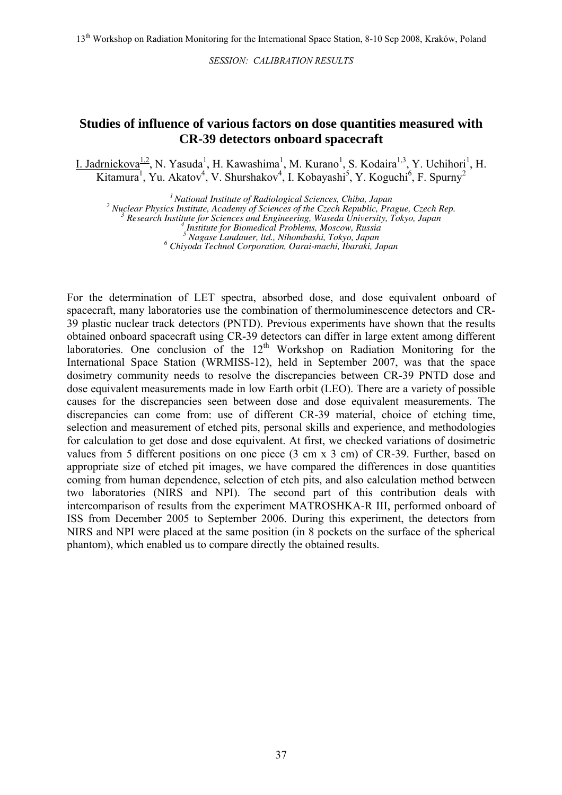#### **Studies of influence of various factors on dose quantities measured with CR-39 detectors onboard spacecraft**

I. Jadrnickova<sup>1,2</sup>, N. Yasuda<sup>1</sup>, H. Kawashima<sup>1</sup>, M. Kurano<sup>1</sup>, S. Kodaira<sup>1,3</sup>, Y. Uchihori<sup>1</sup>, H. Kitamura<sup>1</sup>, Yu. Akatov<sup>4</sup>, V. Shurshakov<sup>4</sup>, I. Kobayashi<sup>5</sup>, Y. Koguchi<sup>6</sup>, F. Spurny<sup>2</sup>

*1 National Institute of Radiological Sciences, Chiba, Japan 2*

 *Nuclear Physics Institute, Academy of Sciences of the Czech Republic, Prague, Czech Rep. <sup>3</sup>*

 *Research Institute for Sciences and Engineering, Waseda University, Tokyo, Japan <sup>4</sup>*

 *Nagase Landauer, ltd., Nihombashi, Tokyo, Japan <sup>6</sup>*

 *Chiyoda Technol Corporation, Oarai-machi, Ibaraki, Japan*

For the determination of LET spectra, absorbed dose, and dose equivalent onboard of spacecraft, many laboratories use the combination of thermoluminescence detectors and CR-39 plastic nuclear track detectors (PNTD). Previous experiments have shown that the results obtained onboard spacecraft using CR-39 detectors can differ in large extent among different laboratories. One conclusion of the  $12<sup>th</sup>$  Workshop on Radiation Monitoring for the International Space Station (WRMISS-12), held in September 2007, was that the space dosimetry community needs to resolve the discrepancies between CR-39 PNTD dose and dose equivalent measurements made in low Earth orbit (LEO). There are a variety of possible causes for the discrepancies seen between dose and dose equivalent measurements. The discrepancies can come from: use of different CR-39 material, choice of etching time, selection and measurement of etched pits, personal skills and experience, and methodologies for calculation to get dose and dose equivalent. At first, we checked variations of dosimetric values from 5 different positions on one piece (3 cm x 3 cm) of CR-39. Further, based on appropriate size of etched pit images, we have compared the differences in dose quantities coming from human dependence, selection of etch pits, and also calculation method between two laboratories (NIRS and NPI). The second part of this contribution deals with intercomparison of results from the experiment MATROSHKA-R III, performed onboard of ISS from December 2005 to September 2006. During this experiment, the detectors from NIRS and NPI were placed at the same position (in 8 pockets on the surface of the spherical phantom), which enabled us to compare directly the obtained results.

*Institute for Biomedical Problems, Moscow, Russia <sup>5</sup>*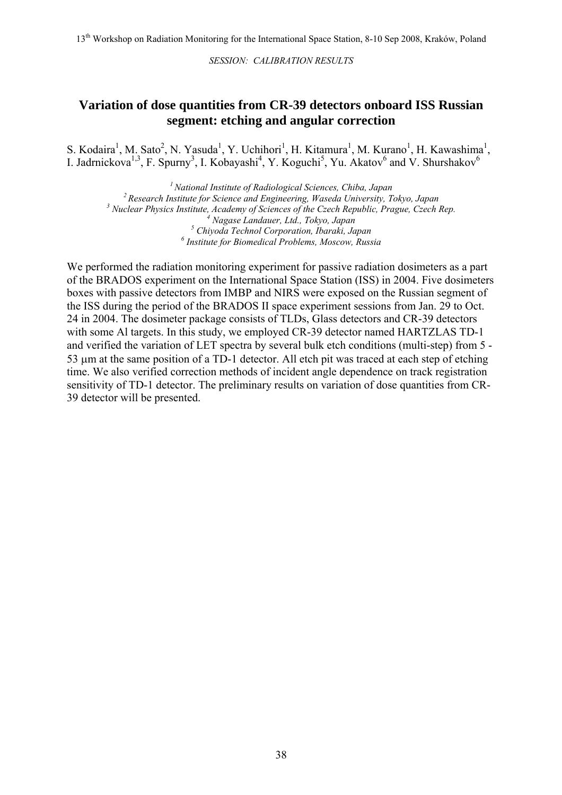#### **Variation of dose quantities from CR-39 detectors onboard ISS Russian segment: etching and angular correction**

S. Kodaira<sup>1</sup>, M. Sato<sup>2</sup>, N. Yasuda<sup>1</sup>, Y. Uchihori<sup>1</sup>, H. Kitamura<sup>1</sup>, M. Kurano<sup>1</sup>, H. Kawashima<sup>1</sup>, I. Jadrnickova<sup>1,3</sup>, F. Spurny<sup>3</sup>, I. Kobayashi<sup>4</sup>, Y. Koguchi<sup>5</sup>, Yu. Akatov<sup>6</sup> and V. Shurshakov<sup>6</sup>

*1 National Institute of Radiological Sciences, Chiba, Japan 2 Research Institute for Science and Engineering, Waseda University, Tokyo, Japan 3 Nuclear Physics Institute, Academy of Sciences of the Czech Republic, Prague, Czech Rep. <sup>4</sup> Nagase Landauer, Ltd., Tokyo, Japan 5 Chiyoda Technol Corporation, Ibaraki, Japan 6 Institute for Biomedical Problems, Moscow, Russia*

We performed the radiation monitoring experiment for passive radiation dosimeters as a part of the BRADOS experiment on the International Space Station (ISS) in 2004. Five dosimeters boxes with passive detectors from IMBP and NIRS were exposed on the Russian segment of the ISS during the period of the BRADOS II space experiment sessions from Jan. 29 to Oct. 24 in 2004. The dosimeter package consists of TLDs, Glass detectors and CR-39 detectors with some Al targets. In this study, we employed CR-39 detector named HARTZLAS TD-1 and verified the variation of LET spectra by several bulk etch conditions (multi-step) from 5 - 53 µm at the same position of a TD-1 detector. All etch pit was traced at each step of etching time. We also verified correction methods of incident angle dependence on track registration sensitivity of TD-1 detector. The preliminary results on variation of dose quantities from CR-39 detector will be presented.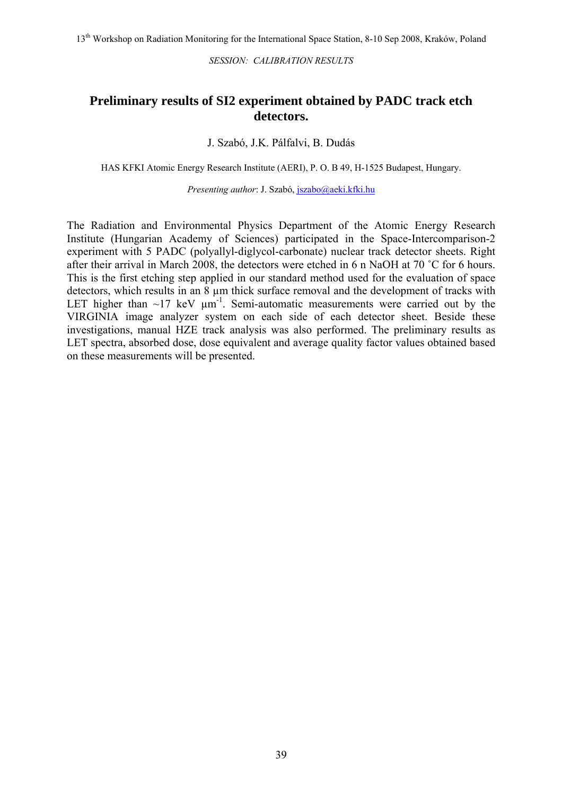#### **Preliminary results of SI2 experiment obtained by PADC track etch detectors.**

#### J. Szabó, J.K. Pálfalvi, B. Dudás

HAS KFKI Atomic Energy Research Institute (AERI), P. O. B 49, H-1525 Budapest, Hungary.

*Presenting author*: J. Szabó, [jszabo@aeki.kfki.hu](mailto:jszabo@aeki.kfki.hu)

The Radiation and Environmental Physics Department of the Atomic Energy Research Institute (Hungarian Academy of Sciences) participated in the Space-Intercomparison-2 experiment with 5 PADC (polyallyl-diglycol-carbonate) nuclear track detector sheets. Right after their arrival in March 2008, the detectors were etched in 6 n NaOH at 70 ˚C for 6 hours. This is the first etching step applied in our standard method used for the evaluation of space detectors, which results in an 8  $\mu$ m thick surface removal and the development of tracks with LET higher than  $\sim$ 17 keV  $\mu$ m<sup>-1</sup>. Semi-automatic measurements were carried out by the VIRGINIA image analyzer system on each side of each detector sheet. Beside these investigations, manual HZE track analysis was also performed. The preliminary results as LET spectra, absorbed dose, dose equivalent and average quality factor values obtained based on these measurements will be presented.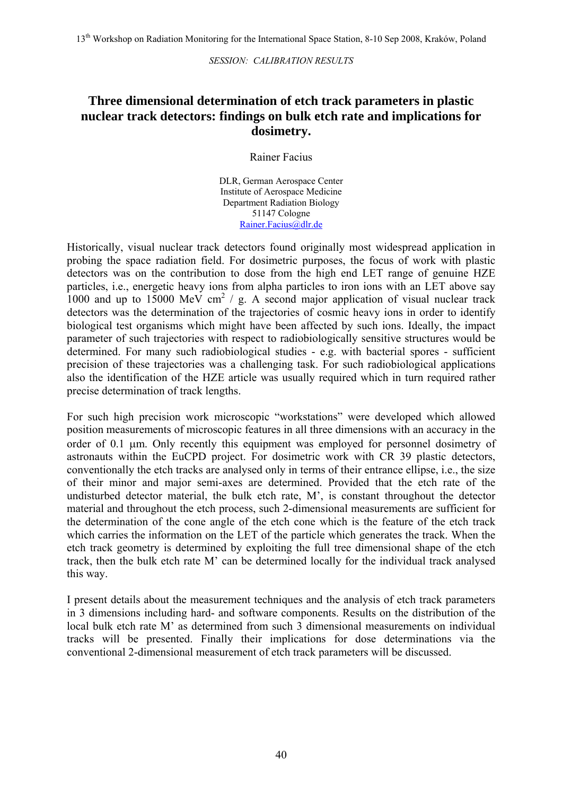### **Three dimensional determination of etch track parameters in plastic nuclear track detectors: findings on bulk etch rate and implications for dosimetry.**

Rainer Facius

DLR, German Aerospace Center Institute of Aerospace Medicine Department Radiation Biology 51147 Cologne [Rainer.Facius@dlr.de](mailto:Rainer.Facius@dlr.de)

Historically, visual nuclear track detectors found originally most widespread application in probing the space radiation field. For dosimetric purposes, the focus of work with plastic detectors was on the contribution to dose from the high end LET range of genuine HZE particles, i.e., energetic heavy ions from alpha particles to iron ions with an LET above say 1000 and up to  $15000$  MeV cm<sup>2</sup> / g. A second major application of visual nuclear track detectors was the determination of the trajectories of cosmic heavy ions in order to identify biological test organisms which might have been affected by such ions. Ideally, the impact parameter of such trajectories with respect to radiobiologically sensitive structures would be determined. For many such radiobiological studies - e.g. with bacterial spores - sufficient precision of these trajectories was a challenging task. For such radiobiological applications also the identification of the HZE article was usually required which in turn required rather precise determination of track lengths.

For such high precision work microscopic "workstations" were developed which allowed position measurements of microscopic features in all three dimensions with an accuracy in the order of 0.1 µm. Only recently this equipment was employed for personnel dosimetry of astronauts within the EuCPD project. For dosimetric work with CR 39 plastic detectors, conventionally the etch tracks are analysed only in terms of their entrance ellipse, i.e., the size of their minor and major semi-axes are determined. Provided that the etch rate of the undisturbed detector material, the bulk etch rate, M', is constant throughout the detector material and throughout the etch process, such 2-dimensional measurements are sufficient for the determination of the cone angle of the etch cone which is the feature of the etch track which carries the information on the LET of the particle which generates the track. When the etch track geometry is determined by exploiting the full tree dimensional shape of the etch track, then the bulk etch rate M' can be determined locally for the individual track analysed this way.

I present details about the measurement techniques and the analysis of etch track parameters in 3 dimensions including hard- and software components. Results on the distribution of the local bulk etch rate M' as determined from such 3 dimensional measurements on individual tracks will be presented. Finally their implications for dose determinations via the conventional 2-dimensional measurement of etch track parameters will be discussed.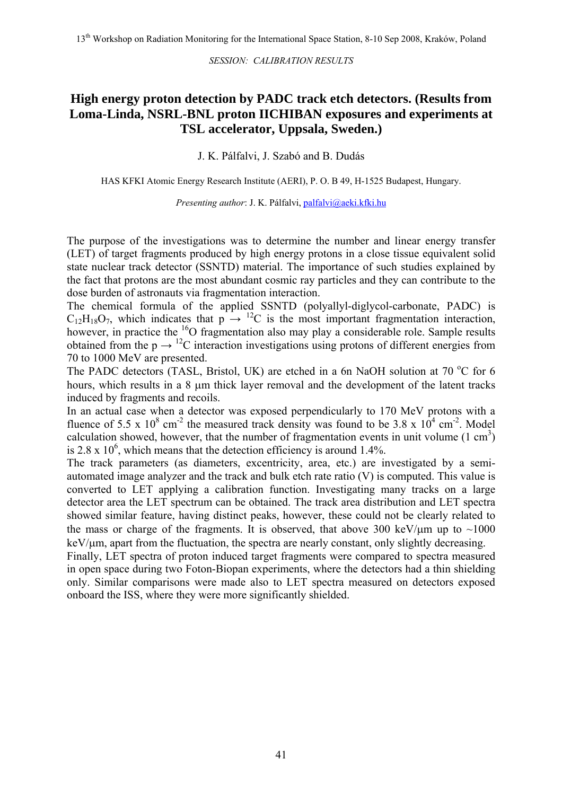### **High energy proton detection by PADC track etch detectors. (Results from Loma-Linda, NSRL-BNL proton IICHIBAN exposures and experiments at TSL accelerator, Uppsala, Sweden.)**

J. K. Pálfalvi, J. Szabó and B. Dudás

HAS KFKI Atomic Energy Research Institute (AERI), P. O. B 49, H-1525 Budapest, Hungary.

*Presenting author*: J. K. Pálfalvi, [palfalvi@aeki.kfki.hu](mailto:palfalvi@aeki.kfki.hu)

The purpose of the investigations was to determine the number and linear energy transfer (LET) of target fragments produced by high energy protons in a close tissue equivalent solid state nuclear track detector (SSNTD) material. The importance of such studies explained by the fact that protons are the most abundant cosmic ray particles and they can contribute to the dose burden of astronauts via fragmentation interaction.

The chemical formula of the applied SSNTD (polyallyl-diglycol-carbonate, PADC) is  $C_{12}H_{18}O_7$ , which indicates that  $p \rightarrow$  <sup>12</sup>C is the most important fragmentation interaction, however, in practice the  $^{16}$ O fragmentation also may play a considerable role. Sample results obtained from the  $p \rightarrow$  <sup>12</sup>C interaction investigations using protons of different energies from 70 to 1000 MeV are presented.

The PADC detectors (TASL, Bristol, UK) are etched in a 6n NaOH solution at 70  $\rm{^{\circ}C}$  for 6 hours, which results in a 8  $\mu$ m thick layer removal and the development of the latent tracks induced by fragments and recoils.

In an actual case when a detector was exposed perpendicularly to 170 MeV protons with a fluence of 5.5 x  $10^8$  cm<sup>-2</sup> the measured track density was found to be 3.8 x  $10^4$  cm<sup>-2</sup>. Model calculation showed, however, that the number of fragmentation events in unit volume  $(1 \text{ cm}^3)$ is  $2.8 \times 10^6$ , which means that the detection efficiency is around 1.4%.

The track parameters (as diameters, excentricity, area, etc.) are investigated by a semiautomated image analyzer and the track and bulk etch rate ratio (V) is computed. This value is converted to LET applying a calibration function. Investigating many tracks on a large detector area the LET spectrum can be obtained. The track area distribution and LET spectra showed similar feature, having distinct peaks, however, these could not be clearly related to the mass or charge of the fragments. It is observed, that above 300 keV/ $\mu$ m up to ~1000  $keV/\mu$ m, apart from the fluctuation, the spectra are nearly constant, only slightly decreasing.

Finally, LET spectra of proton induced target fragments were compared to spectra measured in open space during two Foton-Biopan experiments, where the detectors had a thin shielding only. Similar comparisons were made also to LET spectra measured on detectors exposed onboard the ISS, where they were more significantly shielded.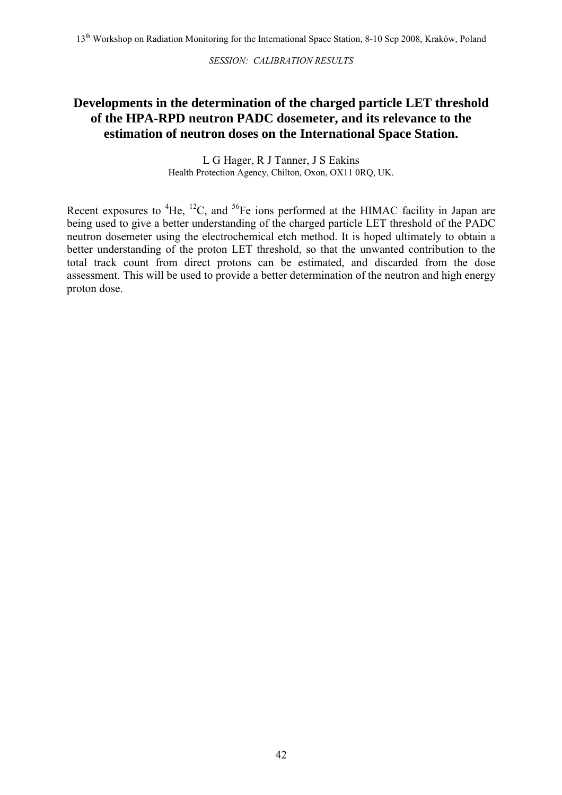### **Developments in the determination of the charged particle LET threshold of the HPA-RPD neutron PADC dosemeter, and its relevance to the estimation of neutron doses on the International Space Station.**

L G Hager, R J Tanner, J S Eakins Health Protection Agency, Chilton, Oxon, OX11 0RQ, UK.

Recent exposures to  ${}^{4}$ He,  ${}^{12}C$ , and  ${}^{56}Fe$  ions performed at the HIMAC facility in Japan are being used to give a better understanding of the charged particle LET threshold of the PADC neutron dosemeter using the electrochemical etch method. It is hoped ultimately to obtain a better understanding of the proton LET threshold, so that the unwanted contribution to the total track count from direct protons can be estimated, and discarded from the dose assessment. This will be used to provide a better determination of the neutron and high energy proton dose.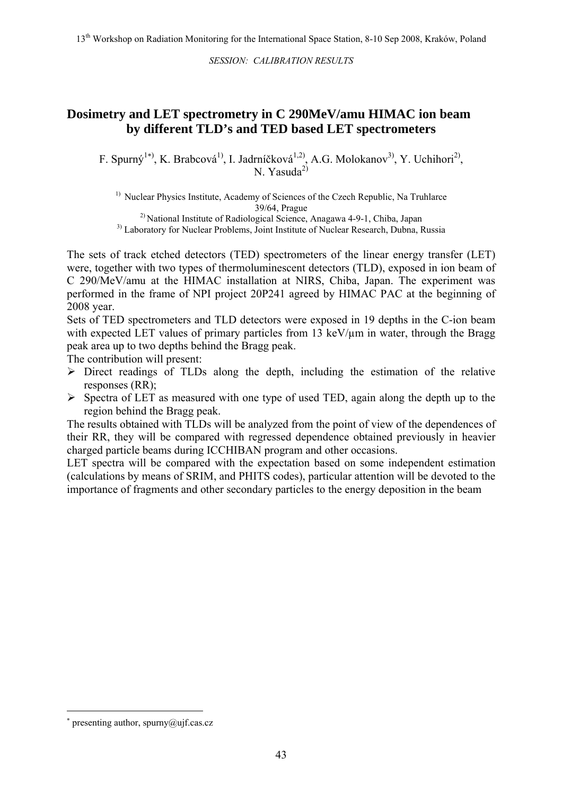### **Dosimetry and LET spectrometry in C 290MeV/amu HIMAC ion beam by different TLD's and TED based LET spectrometers**

F. Spurný<sup>1[∗](#page-43-0))</sup>, K. Brabcová<sup>1)</sup>, I. Jadrníčková<sup>1,2)</sup>, A.G. Molokanov<sup>3)</sup>, Y. Uchihori<sup>2)</sup>, N. Yasuda $^{2)}$ 

<sup>1)</sup> Nuclear Physics Institute, Academy of Sciences of the Czech Republic, Na Truhlarce 39/64, Prague

2) National Institute of Radiological Science, Anagawa 4-9-1, Chiba, Japan

<sup>3)</sup> Laboratory for Nuclear Problems, Joint Institute of Nuclear Research, Dubna, Russia

The sets of track etched detectors (TED) spectrometers of the linear energy transfer (LET) were, together with two types of thermoluminescent detectors (TLD), exposed in ion beam of C 290/MeV/amu at the HIMAC installation at NIRS, Chiba, Japan. The experiment was performed in the frame of NPI project 20P241 agreed by HIMAC PAC at the beginning of 2008 year.

Sets of TED spectrometers and TLD detectors were exposed in 19 depths in the C-ion beam with expected LET values of primary particles from 13 keV/ $\mu$ m in water, through the Bragg peak area up to two depths behind the Bragg peak.

The contribution will present:

- $\triangleright$  Direct readings of TLDs along the depth, including the estimation of the relative responses (RR);
- $\triangleright$  Spectra of LET as measured with one type of used TED, again along the depth up to the region behind the Bragg peak.

The results obtained with TLDs will be analyzed from the point of view of the dependences of their RR, they will be compared with regressed dependence obtained previously in heavier charged particle beams during ICCHIBAN program and other occasions.

LET spectra will be compared with the expectation based on some independent estimation (calculations by means of SRIM, and PHITS codes), particular attention will be devoted to the importance of fragments and other secondary particles to the energy deposition in the beam

1

<span id="page-43-0"></span><sup>∗</sup> presenting author, spurny@ujf.cas.cz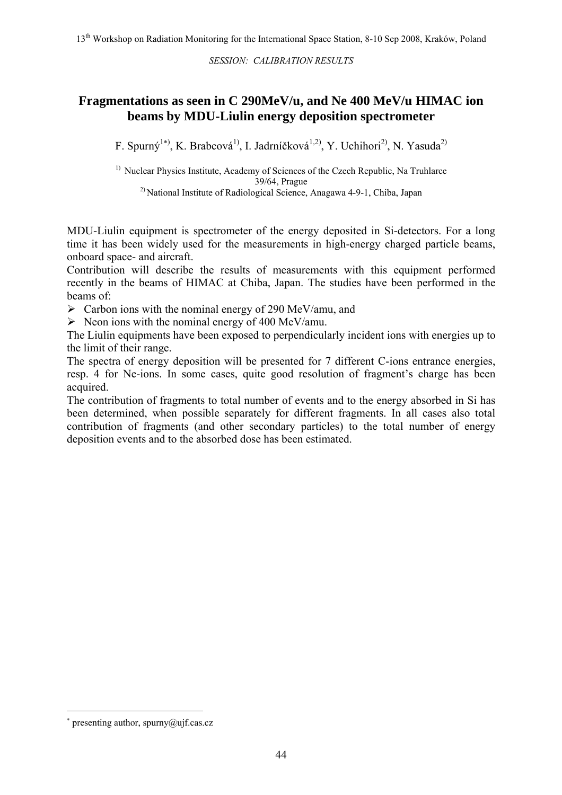### **Fragmentations as seen in C 290MeV/u, and Ne 400 MeV/u HIMAC ion beams by MDU-Liulin energy deposition spectrometer**

F. Spurný<sup>1\*)</sup>, K. Brabcová<sup>1)</sup>, I. Jadrníčková<sup>1,2)</sup>, Y. Uchihori<sup>2)</sup>, N. Yasuda<sup>2)</sup>

<sup>1)</sup> Nuclear Physics Institute, Academy of Sciences of the Czech Republic, Na Truhlarce 39/64, Prague

2) National Institute of Radiological Science, Anagawa 4-9-1, Chiba, Japan

MDU-Liulin equipment is spectrometer of the energy deposited in Si-detectors. For a long time it has been widely used for the measurements in high-energy charged particle beams, onboard space- and aircraft.

Contribution will describe the results of measurements with this equipment performed recently in the beams of HIMAC at Chiba, Japan. The studies have been performed in the beams of:

 $\triangleright$  Carbon ions with the nominal energy of 290 MeV/amu, and

 $\triangleright$  Neon ions with the nominal energy of 400 MeV/amu.

The Liulin equipments have been exposed to perpendicularly incident ions with energies up to the limit of their range.

The spectra of energy deposition will be presented for 7 different C-ions entrance energies, resp. 4 for Ne-ions. In some cases, quite good resolution of fragment's charge has been acquired.

The contribution of fragments to total number of events and to the energy absorbed in Si has been determined, when possible separately for different fragments. In all cases also total contribution of fragments (and other secondary particles) to the total number of energy deposition events and to the absorbed dose has been estimated.

 $\overline{a}$ 

<span id="page-44-0"></span><sup>∗</sup> presenting author, spurny@ujf.cas.cz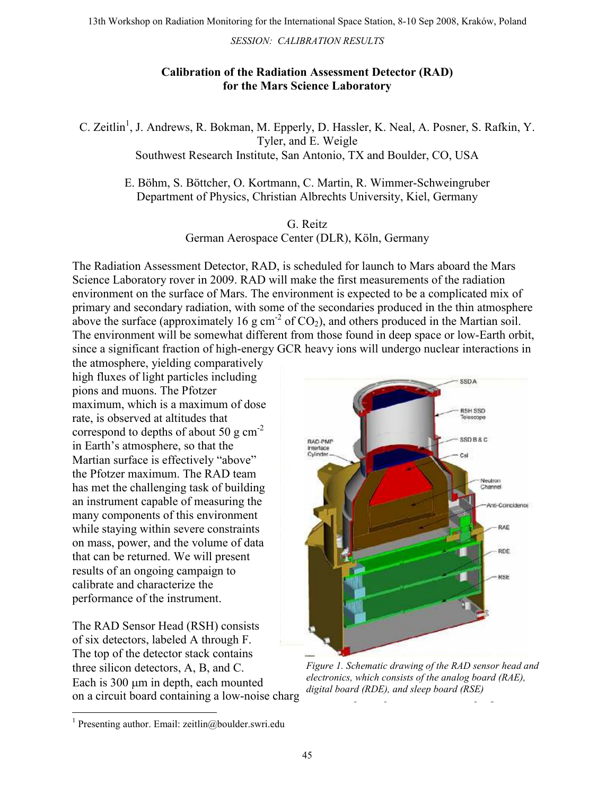#### Calibration of the Radiation Assessment Detector (RAD) for the Mars Science Laboratory

C. Zeitlin<sup>1</sup>, J. Andrews, R. Bokman, M. Epperly, D. Hassler, K. Neal, A. Posner, S. Rafkin, Y. Tyler, and E. Weigle Southwest Research Institute, San Antonio, TX and Boulder, CO, USA

E. Böhm, S. Böttcher, O. Kortmann, C. Martin, R. Wimmer-Schweingruber Department of Physics, Christian Albrechts University, Kiel, Germany

#### G. Reitz

German Aerospace Center (DLR), Köln, Germany

The Radiation Assessment Detector, RAD, is scheduled for launch to Mars aboard the Mars Science Laboratory rover in 2009. RAD will make the first measurements of the radiation environment on the surface of Mars. The environment is expected to be a complicated mix of primary and secondary radiation, with some of the secondaries produced in the thin atmosphere above the surface (approximately 16 g cm<sup>-2</sup> of CO<sub>2</sub>), and others produced in the Martian soil. The environment will be somewhat different from those found in deep space or low-Earth orbit, since a significant fraction of high-energy GCR heavy ions will undergo nuclear interactions in

the atmosphere, yielding comparatively high fluxes of light particles including pions and muons. The Pfotzer maximum, which is a maximum of dose rate, is observed at altitudes that correspond to depths of about 50 g  $\text{cm}^{-2}$ in Earth's atmosphere, so that the Martian surface is effectively "above" the Pfotzer maximum. The RAD team has met the challenging task of building an instrument capable of measuring the many components of this environment while staying within severe constraints on mass, power, and the volume of data that can be returned. We will present results of an ongoing campaign to calibrate and characterize the performance of the instrument.

The RAD Sensor Head (RSH) consists of six detectors, labeled A through F. The top of the detector stack contains three silicon detectors, A, B, and C. Each is 300  $\mu$ m in depth, each mounted on a circuit board containing a low-noise charge



Figure 1. Schematic drawing of the RAD sensor head and electronics, which consists of the analog board (RAE), digital board (RDE), and sleep board (RSE)

<sup>1&</sup>lt;br><sup>1</sup> Presenting author. Email: zeitlin@boulder.swri.edu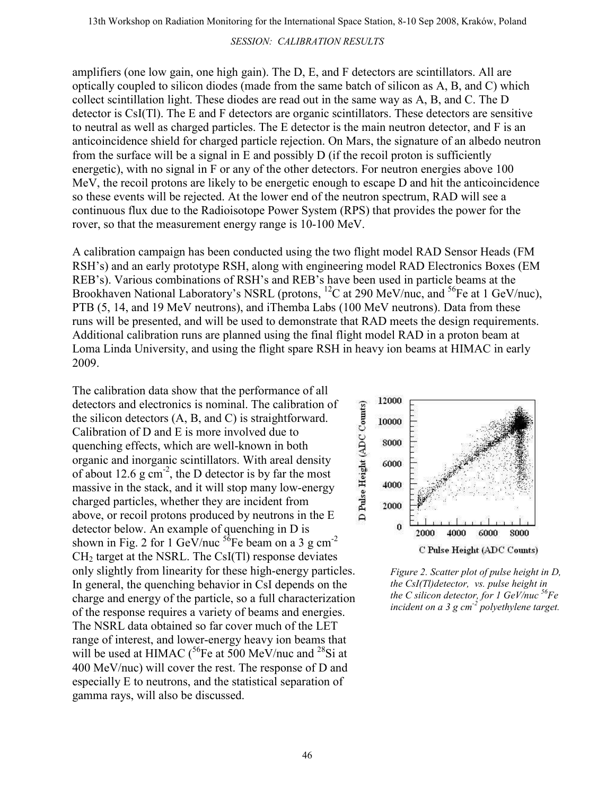amplifiers (one low gain, one high gain). The D, E, and F detectors are scintillators. All are optically coupled to silicon diodes (made from the same batch of silicon as A, B, and C) which collect scintillation light. These diodes are read out in the same way as A, B, and C. The D detector is CsI(Tl). The E and F detectors are organic scintillators. These detectors are sensitive to neutral as well as charged particles. The E detector is the main neutron detector, and F is an anticoincidence shield for charged particle rejection. On Mars, the signature of an albedo neutron from the surface will be a signal in E and possibly D (if the recoil proton is sufficiently energetic), with no signal in F or any of the other detectors. For neutron energies above 100 MeV, the recoil protons are likely to be energetic enough to escape D and hit the anticoincidence so these events will be rejected. At the lower end of the neutron spectrum, RAD will see a continuous flux due to the Radioisotope Power System (RPS) that provides the power for the rover, so that the measurement energy range is 10-100 MeV.

A calibration campaign has been conducted using the two flight model RAD Sensor Heads (FM RSH's) and an early prototype RSH, along with engineering model RAD Electronics Boxes (EM REB's). Various combinations of RSH's and REB's have been used in particle beams at the Brookhaven National Laboratory's NSRL (protons,  ${}^{12}C$  at 290 MeV/nuc, and  ${}^{56}Fe$  at 1 GeV/nuc), PTB (5, 14, and 19 MeV neutrons), and iThemba Labs (100 MeV neutrons). Data from these runs will be presented, and will be used to demonstrate that RAD meets the design requirements. Additional calibration runs are planned using the final flight model RAD in a proton beam at Loma Linda University, and using the flight spare RSH in heavy ion beams at HIMAC in early 2009.

The calibration data show that the performance of all detectors and electronics is nominal. The calibration of the silicon detectors (A, B, and C) is straightforward. Calibration of D and E is more involved due to quenching effects, which are well-known in both organic and inorganic scintillators. With areal density of about 12.6 g  $cm^{-2}$ , the D detector is by far the most massive in the stack, and it will stop many low-energy charged particles, whether they are incident from above, or recoil protons produced by neutrons in the E detector below. An example of quenching in D is shown in Fig. 2 for 1 GeV/nuc  $^{56}$ Fe beam on a 3 g cm<sup>-2</sup>  $CH<sub>2</sub>$  target at the NSRL. The CsI(Tl) response deviates only slightly from linearity for these high-energy particles. In general, the quenching behavior in CsI depends on the charge and energy of the particle, so a full characterization of the response requires a variety of beams and energies. The NSRL data obtained so far cover much of the LET range of interest, and lower-energy heavy ion beams that will be used at HIMAC  $\binom{56}{5}$  at 500 MeV/nuc and <sup>28</sup>Si at 400 MeV/nuc) will cover the rest. The response of D and especially E to neutrons, and the statistical separation of gamma rays, will also be discussed.



Figure 2. Scatter plot of pulse height in D, the CsI(Tl)detector, vs. pulse height in the C silicon detector, for 1 GeV/nuc  ${}^{56}Fe$ incident on a  $3 g cm<sup>-2</sup>$  polyethylene target.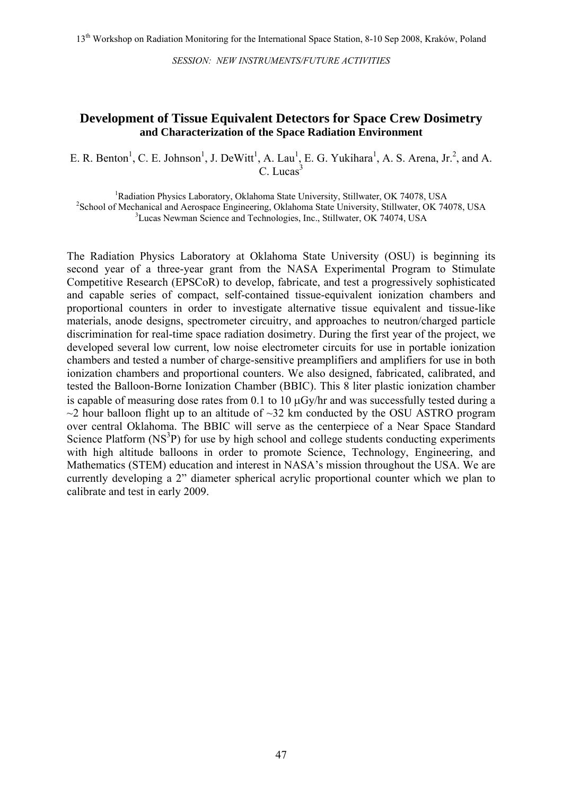#### **Development of Tissue Equivalent Detectors for Space Crew Dosimetry and Characterization of the Space Radiation Environment**

E. R. Benton<sup>1</sup>, C. E. Johnson<sup>1</sup>, J. DeWitt<sup>1</sup>, A. Lau<sup>1</sup>, E. G. Yukihara<sup>1</sup>, A. S. Arena, Jr.<sup>2</sup>, and A.  $C.$  Lucas $3$ 

<sup>1</sup>Radiation Physics Laboratory, Oklahoma State University, Stillwater, OK 74078, USA<br><sup>2</sup>Seboal of Machaniael and Assesses Engineering, Oklahoma State University, Stillwater, OK 744 <sup>2</sup>School of Mechanical and Aerospace Engineering, Oklahoma State University, Stillwater, OK 74078, USA <sup>3</sup> Lucas Newman Science and Technologies, Inc., Stillwater, OK 74074, USA

The Radiation Physics Laboratory at Oklahoma State University (OSU) is beginning its second year of a three-year grant from the NASA Experimental Program to Stimulate Competitive Research (EPSCoR) to develop, fabricate, and test a progressively sophisticated and capable series of compact, self-contained tissue-equivalent ionization chambers and proportional counters in order to investigate alternative tissue equivalent and tissue-like materials, anode designs, spectrometer circuitry, and approaches to neutron/charged particle discrimination for real-time space radiation dosimetry. During the first year of the project, we developed several low current, low noise electrometer circuits for use in portable ionization chambers and tested a number of charge-sensitive preamplifiers and amplifiers for use in both ionization chambers and proportional counters. We also designed, fabricated, calibrated, and tested the Balloon-Borne Ionization Chamber (BBIC). This 8 liter plastic ionization chamber is capable of measuring dose rates from 0.1 to 10 µGy/hr and was successfully tested during a  $\sim$ 2 hour balloon flight up to an altitude of  $\sim$ 32 km conducted by the OSU ASTRO program over central Oklahoma. The BBIC will serve as the centerpiece of a Near Space Standard Science Platform (NS<sup>3</sup>P) for use by high school and college students conducting experiments with high altitude balloons in order to promote Science, Technology, Engineering, and Mathematics (STEM) education and interest in NASA's mission throughout the USA. We are currently developing a 2" diameter spherical acrylic proportional counter which we plan to calibrate and test in early 2009.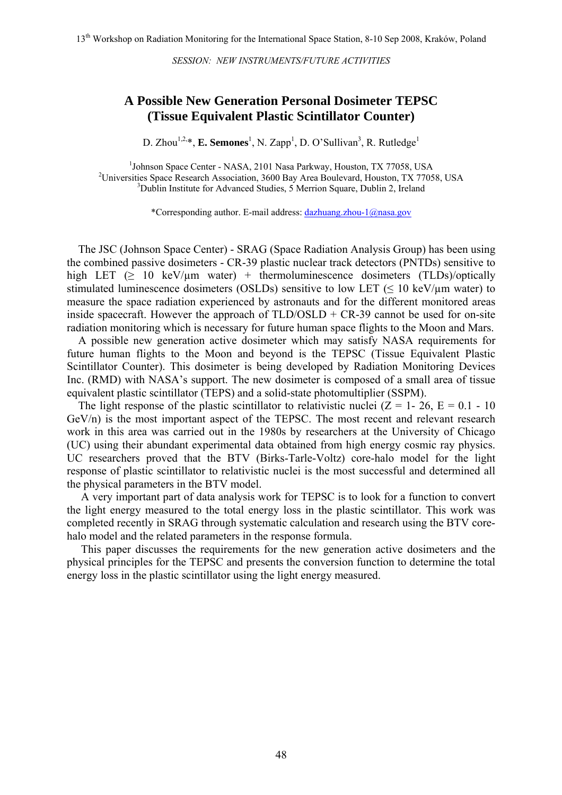#### **A Possible New Generation Personal Dosimeter TEPSC (Tissue Equivalent Plastic Scintillator Counter)**

D. Zhou<sup>1,2,\*</sup>, **E. Semones**<sup>1</sup>, N. Zapp<sup>1</sup>, D. O'Sullivan<sup>3</sup>, R. Rutledge<sup>1</sup>

<sup>1</sup>Johnson Space Center - NASA, 2101 Nasa Parkway, Houston, TX 77058, USA<br><sup>2</sup>Universities Space Research Association, 2600 Bay Area Bouloused Houston, TX 7705 <sup>2</sup>Universities Space Research Association, 3600 Bay Area Boulevard, Houston, TX 77058, USA <sup>3</sup>Dublin Institute for Advanced Studies, 5 Merrion Square, Dublin 2, Ireland

\*Corresponding author. E-mail address: [dazhuang.zhou-1@nasa.gov](mailto:dazhuang.zhou-1@nasa.gov)

 The JSC (Johnson Space Center) - SRAG (Space Radiation Analysis Group) has been using the combined passive dosimeters - CR-39 plastic nuclear track detectors (PNTDs) sensitive to high LET ( $\geq$  10 keV/ $\mu$ m water) + thermoluminescence dosimeters (TLDs)/optically stimulated luminescence dosimeters (OSLDs) sensitive to low LET (≤ 10 keV/µm water) to measure the space radiation experienced by astronauts and for the different monitored areas inside spacecraft. However the approach of  $TLD/OSLD + CR-39$  cannot be used for on-site radiation monitoring which is necessary for future human space flights to the Moon and Mars.

A possible new generation active dosimeter which may satisfy NASA requirements for future human flights to the Moon and beyond is the TEPSC (Tissue Equivalent Plastic Scintillator Counter). This dosimeter is being developed by Radiation Monitoring Devices Inc. (RMD) with NASA's support. The new dosimeter is composed of a small area of tissue equivalent plastic scintillator (TEPS) and a solid-state photomultiplier (SSPM).

The light response of the plastic scintillator to relativistic nuclei  $(Z = 1 - 26, E = 0.1 - 10$ GeV/n) is the most important aspect of the TEPSC. The most recent and relevant research work in this area was carried out in the 1980s by researchers at the University of Chicago (UC) using their abundant experimental data obtained from high energy cosmic ray physics. UC researchers proved that the BTV (Birks-Tarle-Voltz) core-halo model for the light response of plastic scintillator to relativistic nuclei is the most successful and determined all the physical parameters in the BTV model.

 A very important part of data analysis work for TEPSC is to look for a function to convert the light energy measured to the total energy loss in the plastic scintillator. This work was completed recently in SRAG through systematic calculation and research using the BTV corehalo model and the related parameters in the response formula.

 This paper discusses the requirements for the new generation active dosimeters and the physical principles for the TEPSC and presents the conversion function to determine the total energy loss in the plastic scintillator using the light energy measured.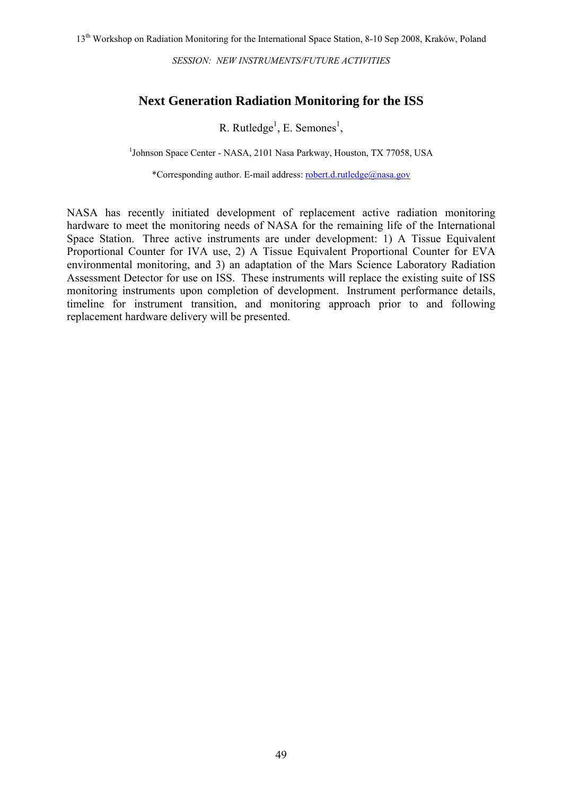### **Next Generation Radiation Monitoring for the ISS**

R. Rutledge<sup>1</sup>, E. Semones<sup>1</sup>,

<sup>1</sup>Johnson Space Center - NASA, 2101 Nasa Parkway, Houston, TX 77058, USA

\*Corresponding author. E-mail address: [robert.d.rutledge@nasa.gov](mailto:robert.d.rutledge@nasa.gov)

NASA has recently initiated development of replacement active radiation monitoring hardware to meet the monitoring needs of NASA for the remaining life of the International Space Station. Three active instruments are under development: 1) A Tissue Equivalent Proportional Counter for IVA use, 2) A Tissue Equivalent Proportional Counter for EVA environmental monitoring, and 3) an adaptation of the Mars Science Laboratory Radiation Assessment Detector for use on ISS. These instruments will replace the existing suite of ISS monitoring instruments upon completion of development. Instrument performance details, timeline for instrument transition, and monitoring approach prior to and following replacement hardware delivery will be presented.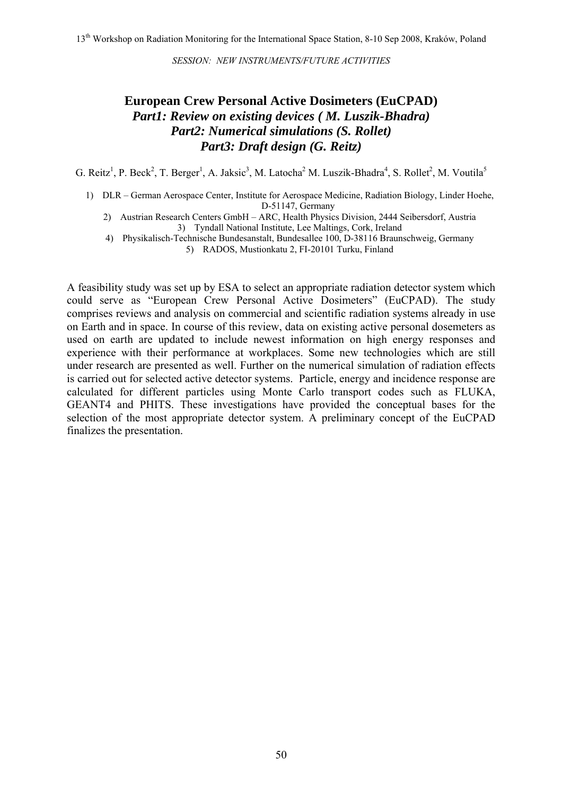### **European Crew Personal Active Dosimeters (EuCPAD)**  *Part1: Review on existing devices ( M. Luszik-Bhadra) Part2: Numerical simulations (S. Rollet) Part3: Draft design (G. Reitz)*

G. Reitz<sup>1</sup>, P. Beck<sup>2</sup>, T. Berger<sup>1</sup>, A. Jaksic<sup>3</sup>, M. Latocha<sup>2</sup> M. Luszik-Bhadra<sup>4</sup>, S. Rollet<sup>2</sup>, M. Voutila<sup>5</sup>

- 1) DLR German Aerospace Center, Institute for Aerospace Medicine, Radiation Biology, Linder Hoehe, D-51147, Germany
	- 2) Austrian Research Centers GmbH ARC, Health Physics Division, 2444 Seibersdorf, Austria 3) Tyndall National Institute, Lee Maltings, Cork, Ireland
	- 4) Physikalisch-Technische Bundesanstalt, Bundesallee 100, D-38116 Braunschweig, Germany 5) RADOS, Mustionkatu 2, FI-20101 Turku, Finland

A feasibility study was set up by ESA to select an appropriate radiation detector system which could serve as "European Crew Personal Active Dosimeters" (EuCPAD). The study comprises reviews and analysis on commercial and scientific radiation systems already in use on Earth and in space. In course of this review, data on existing active personal dosemeters as used on earth are updated to include newest information on high energy responses and experience with their performance at workplaces. Some new technologies which are still under research are presented as well. Further on the numerical simulation of radiation effects is carried out for selected active detector systems. Particle, energy and incidence response are calculated for different particles using Monte Carlo transport codes such as FLUKA, GEANT4 and PHITS. These investigations have provided the conceptual bases for the selection of the most appropriate detector system. A preliminary concept of the EuCPAD finalizes the presentation.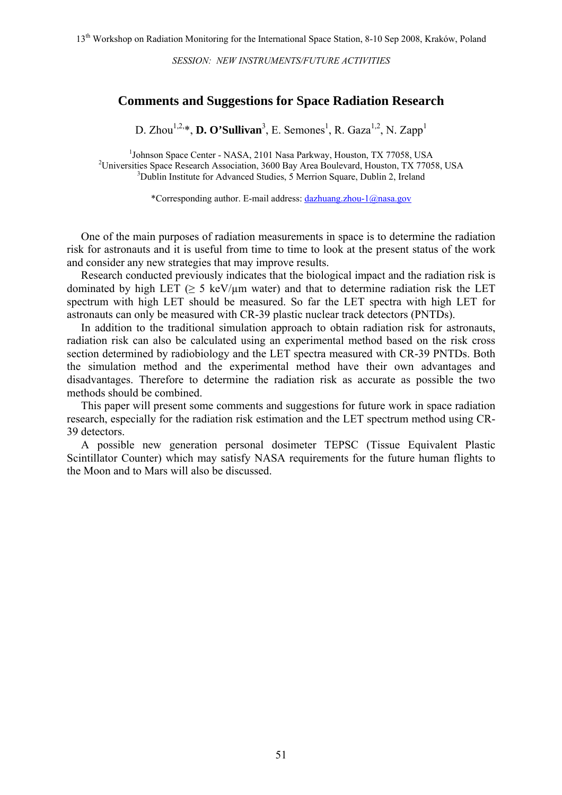#### **Comments and Suggestions for Space Radiation Research**

D. Zhou<sup>1,2,\*</sup>, **D. O'Sullivan**<sup>3</sup>, E. Semones<sup>1</sup>, R. Gaza<sup>1,2</sup>, N. Zapp<sup>1</sup>

<sup>1</sup>Johnson Space Center - NASA, 2101 Nasa Parkway, Houston, TX 77058, USA<br><sup>2</sup>Universities Space Research Association, 2600 Bay Area Bouloused Houston, TX 7705 <sup>2</sup>Universities Space Research Association, 3600 Bay Area Boulevard, Houston, TX 77058, USA <sup>3</sup>Dublin Institute for Advanced Studies, 5 Merrion Square, Dublin 2, Ireland

\*Corresponding author. E-mail address: [dazhuang.zhou-1@nasa.gov](mailto:dazhuang.zhou-1@nasa.gov)

One of the main purposes of radiation measurements in space is to determine the radiation risk for astronauts and it is useful from time to time to look at the present status of the work and consider any new strategies that may improve results.

 Research conducted previously indicates that the biological impact and the radiation risk is dominated by high LET ( $> 5 \text{ keV/µm}$  water) and that to determine radiation risk the LET spectrum with high LET should be measured. So far the LET spectra with high LET for astronauts can only be measured with CR-39 plastic nuclear track detectors (PNTDs).

In addition to the traditional simulation approach to obtain radiation risk for astronauts, radiation risk can also be calculated using an experimental method based on the risk cross section determined by radiobiology and the LET spectra measured with CR-39 PNTDs. Both the simulation method and the experimental method have their own advantages and disadvantages. Therefore to determine the radiation risk as accurate as possible the two methods should be combined.

This paper will present some comments and suggestions for future work in space radiation research, especially for the radiation risk estimation and the LET spectrum method using CR-39 detectors.

 A possible new generation personal dosimeter TEPSC (Tissue Equivalent Plastic Scintillator Counter) which may satisfy NASA requirements for the future human flights to the Moon and to Mars will also be discussed.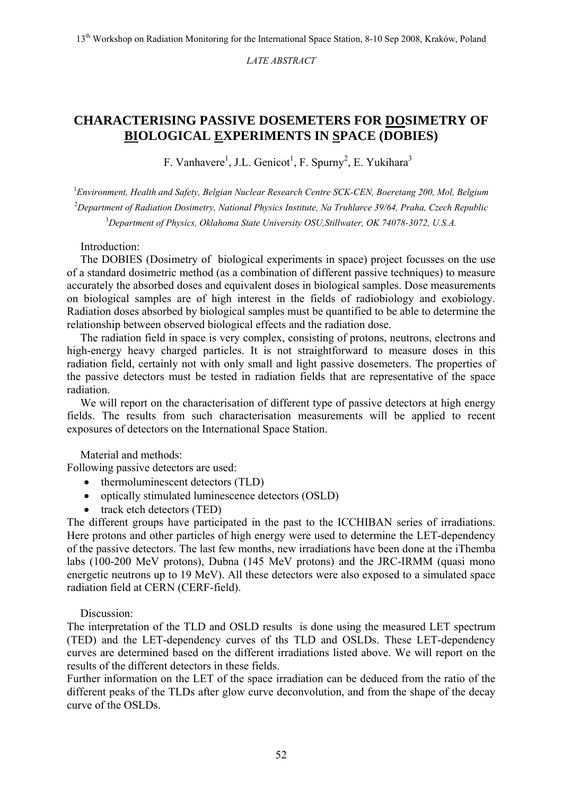*LATE ABSTRACT* 

## **CHARACTERISING PASSIVE DOSEMETERS FOR DOSIMETRY OF BIOLOGICAL EXPERIMENTS IN SPACE (DOBIES)**

F. Vanhavere<sup>1</sup>, J.L. Genicot<sup>1</sup>, F. Spurny<sup>2</sup>, E. Yukihara<sup>3</sup>

1 *Environment, Health and Safety, Belgian Nuclear Research Centre SCK-CEN, Boeretang 200, Mol, Belgium*  2 *Department of Radiation Dosimetry, National Physics Institute, Na Truhlarce 39/64, Praha, Czech Republic* 3 *Department of Physics, Oklahoma State University OSU,Stillwater, OK 74078-3072, U.S.A.*

Introduction:

The DOBIES (Dosimetry of biological experiments in space) project focusses on the use of a standard dosimetric method (as a combination of different passive techniques) to measure accurately the absorbed doses and equivalent doses in biological samples. Dose measurements on biological samples are of high interest in the fields of radiobiology and exobiology. Radiation doses absorbed by biological samples must be quantified to be able to determine the relationship between observed biological effects and the radiation dose.

The radiation field in space is very complex, consisting of protons, neutrons, electrons and high-energy heavy charged particles. It is not straightforward to measure doses in this radiation field, certainly not with only small and light passive dosemeters. The properties of the passive detectors must be tested in radiation fields that are representative of the space radiation.

We will report on the characterisation of different type of passive detectors at high energy fields. The results from such characterisation measurements will be applied to recent exposures of detectors on the International Space Station.

Material and methods:

Following passive detectors are used:

- thermoluminescent detectors (TLD)
- optically stimulated luminescence detectors (OSLD)
- track etch detectors (TED)

The different groups have participated in the past to the ICCHIBAN series of irradiations. Here protons and other particles of high energy were used to determine the LET-dependency of the passive detectors. The last few months, new irradiations have been done at the iThemba labs (100-200 MeV protons), Dubna (145 MeV protons) and the JRC-IRMM (quasi mono energetic neutrons up to 19 MeV). All these detectors were also exposed to a simulated space radiation field at CERN (CERF-field).

Discussion:

The interpretation of the TLD and OSLD results is done using the measured LET spectrum (TED) and the LET-dependency curves of ths TLD and OSLDs. These LET-dependency curves are determined based on the different irradiations listed above. We will report on the results of the different detectors in these fields.

Further information on the LET of the space irradiation can be deduced from the ratio of the different peaks of the TLDs after glow curve deconvolution, and from the shape of the decay curve of the OSLDs.